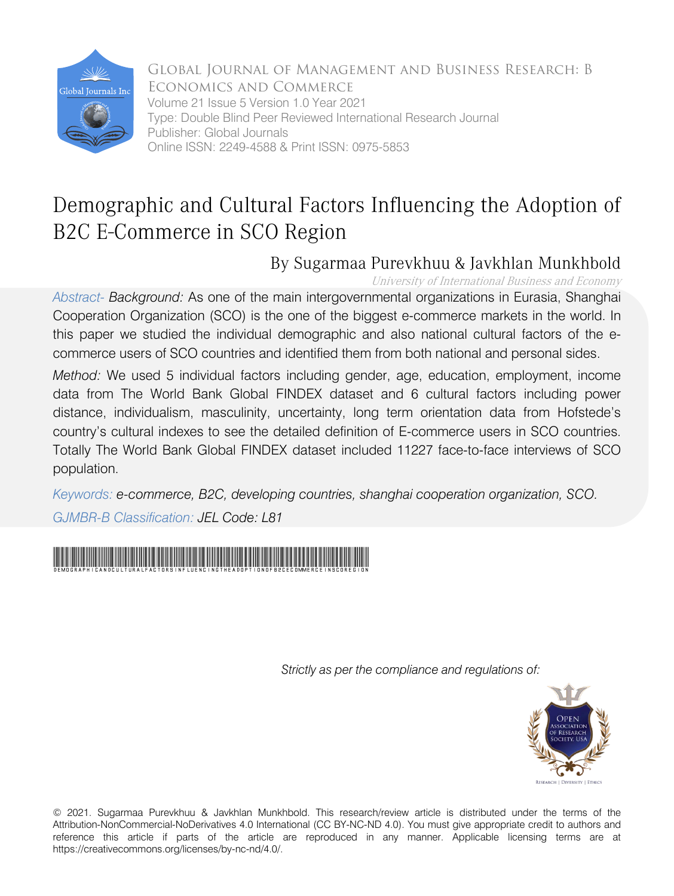

Global Journal of Management and Business Research: B Economics and Commerce Volume 21 Issue 5 Version 1.0 Year 2021 Type: Double Blind Peer Reviewed International Research Journal Publisher: Global Journals Online ISSN: 2249-4588 & Print ISSN: 0975-5853

# Demographic and Cultural Factors Influencing the Adoption of B2C E-Commerce in SCO Region

# By Sugarmaa Purevkhuu & Javkhlan Munkhbold

University of International Business and Economy

*Abstract- Background:* As one of the main intergovernmental organizations in Eurasia, Shanghai Cooperation Organization (SCO) is the one of the biggest e-commerce markets in the world. In this paper we studied the individual demographic and also national cultural factors of the ecommerce users of SCO countries and identified them from both national and personal sides.

*Method:* We used 5 individual factors including gender, age, education, employment, income data from The World Bank Global FINDEX dataset and 6 cultural factors including power distance, individualism, masculinity, uncertainty, long term orientation data from Hofstede's country's cultural indexes to see the detailed definition of E-commerce users in SCO countries. Totally The World Bank Global FINDEX dataset included 11227 face-to-face interviews of SCO population.

*Keywords: e-commerce, B2C, developing countries, shanghai cooperation organization, SCO. GJMBR-B Classification: JEL Code: L81*



 *Strictly as per the compliance and regulations of:*



© 2021. Sugarmaa Purevkhuu & Javkhlan Munkhbold. This research/review article is distributed under the terms of the Attribution-NonCommercial-NoDerivatives 4.0 International (CC BY-NC-ND 4.0). You must give appropriate credit to authors and reference this article if parts of the article are reproduced in any manner. Applicable licensing terms are at https://creativecommons.org/licenses/by-nc-nd/4.0/.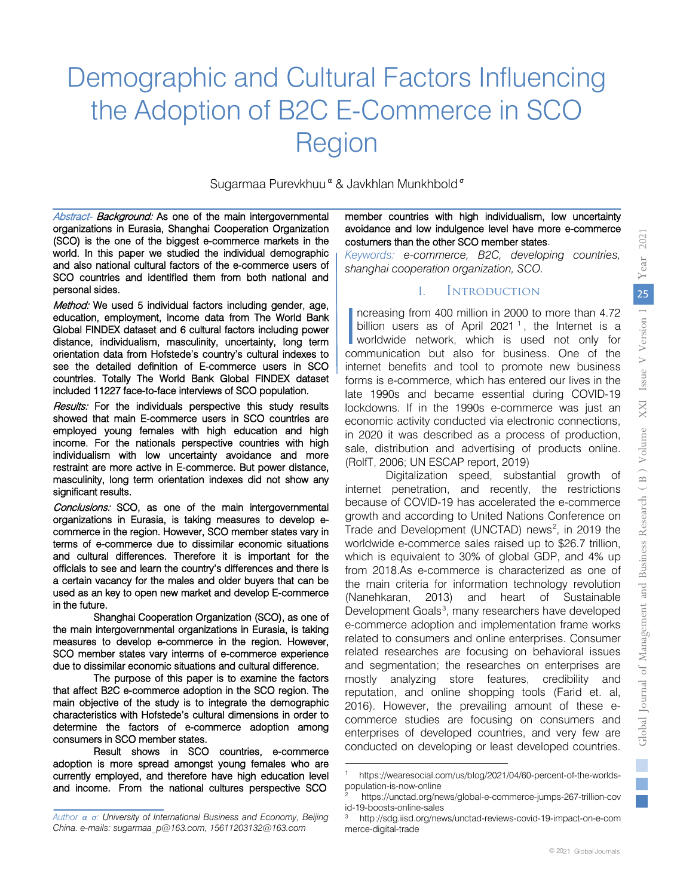# Demographic and Cultural Factors Influencing the Adoption of B2C E-Commerce in SCO Region

Sugarmaa Purevkhuu<sup>α</sup> & Javkhlan Munkhbold<sup>σ</sup>

 $\overline{\phantom{a}}$ 

Abstract- Background: As one of the main intergovernmental organizations in Eurasia, Shanghai Cooperation Organization (SCO) is the one of the biggest e-commerce markets in the world. In this paper we studied the individual demographic and also national cultural factors of the e-commerce users of SCO countries and identified them from both national and personal sides.

Method: We used 5 individual factors including gender, age, education, employment, income data from The World Bank Global FINDEX dataset and 6 cultural factors including power distance, individualism, masculinity, uncertainty, long term orientation data from Hofstede's country's cultural indexes to see the detailed definition of E-commerce users in SCO countries. Totally The World Bank Global FINDEX dataset included 11227 face-to-face interviews of SCO population.

Results: For the individuals perspective this study results showed that main E-commerce users in SCO countries are employed young females with high education and high income. For the nationals perspective countries with high individualism with low uncertainty avoidance and more restraint are more active in E-commerce. But power distance, masculinity, long term orientation indexes did not show any significant results.

Conclusions: SCO, as one of the main intergovernmental organizations in Eurasia, is taking measures to develop ecommerce in the region. However, SCO member states vary in terms of e-commerce due to dissimilar economic situations and cultural differences. Therefore it is important for the officials to see and learn the country's differences and there is a certain vacancy for the males and older buyers that can be used as an key to open new market and develop E-commerce in the future.

Shanghai Cooperation Organization (SCO), as one of the main intergovernmental organizations in Eurasia, is taking measures to develop e-commerce in the region. However, SCO member states vary interms of e-commerce experience due to dissimilar economic situations and cultural difference.

The purpose of this paper is to examine the factors that affect B2C e-commerce adoption in the SCO region. The main objective of the study is to integrate the demographic characteristics with Hofstede's cultural dimensions in order to determine the factors of e-commerce adoption among consumers in SCO member states.

Result shows in SCO countries, e-commerce adoption is more spread amongst young females who are currently employed, and therefore have high education level and income. From the national cultures perspective SCO

member countries with high individualism, low uncertainty avoidance and low indulgence level have more e-commerce costumers than the other SCO member states.

*Keywords: e-commerce, B2C, developing countries, shanghai cooperation organization, SCO.* 

### I. Introduction

Increasing from 400 million in 2000 to more than 4.72<br>
billion users as of April 2021<sup>1</sup>, the Internet is a<br>
worldwide network, which is used not only for billion users as of April 202[1](#page-1-0)<sup>1</sup>, the Internet is a worldwide network, which is used not only for communication but also for business. One of the internet benefits and tool to promote new business forms is e-commerce, which has entered our lives in the late 1990s and became essential during COVID-19 lockdowns. If in the 1990s e-commerce was just an economic activity conducted via electronic connections, in 2020 it was described as a process of production, sale, distribution and advertising of products online. (RolfT, 2006; UN ESCAP report, 2019)

Digitalization speed, substantial growth of internet penetration, and recently, the restrictions because of COVID-19 has accelerated the e-commerce growth and according to United Nations Conference on Trade and Development (UNCTAD) news [2](#page-1-1) , in 2019 the worldwide e-commerce sales raised up to \$26.7 trillion, which is equivalent to 30% of global GDP, and 4% up from 2018.As e-commerce is characterized as one of the main criteria for information technology revolution (Nanehkaran, 2013) and heart of Sustainable Development Goals<sup>[3](#page-1-2)</sup>, many researchers have developed e-commerce adoption and implementation frame works related to consumers and online enterprises. Consumer related researches are focusing on behavioral issues and segmentation; the researches on enterprises are mostly analyzing store features, credibility and reputation, and online shopping tools (Farid et. al, 2016). However, the prevailing amount of these ecommerce studies are focusing on consumers and enterprises of developed countries, and very few are conducted on developing or least developed countries.

<span id="page-1-2"></span><span id="page-1-1"></span><span id="page-1-0"></span>*Author α σ: University of International Business and Economy, Beijing China. e-mails: sugarmaa\_p@163.com, 15611203132@163.com*

https://wearesocial.com/us/blog/2021/04/60-percent-of-the-worldspopulation-is-now-online

<sup>2</sup> https://unctad.org/news/global-e-commerce-jumps-267-trillion-cov id-19-boosts-online-sales

<sup>3</sup> http://sdg.iisd.org/news/unctad-reviews-covid-19-impact-on-e-com merce-digital-trade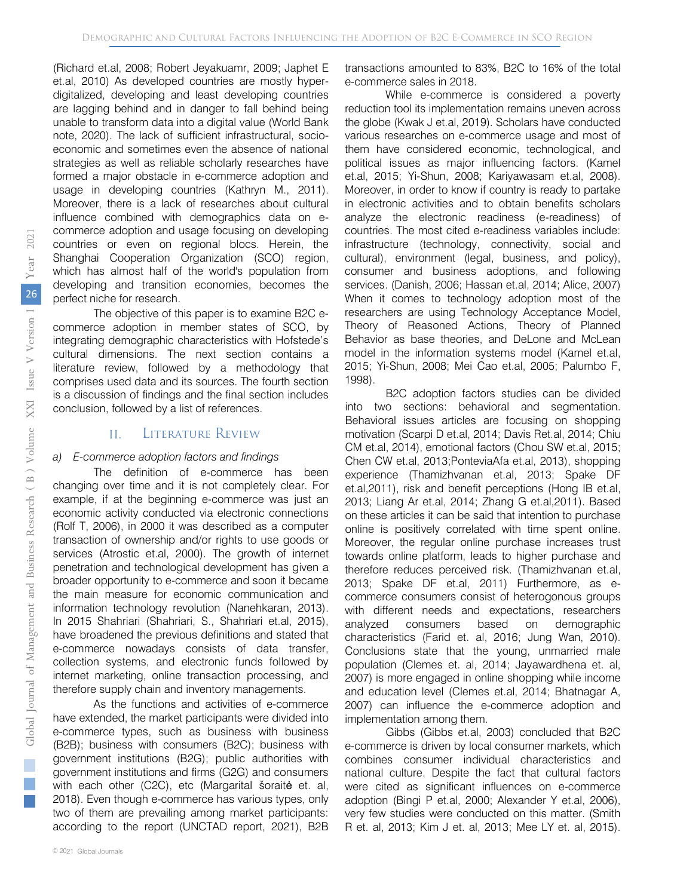(Richard et.al, 2008; Robert Jeyakuamr, 2009; Japhet E et.al, 2010) As developed countries are mostly hyperdigitalized, developing and least developing countries are lagging behind and in danger to fall behind being unable to transform data into a digital value (World Bank note, 2020). The lack of sufficient infrastructural, socioeconomic and sometimes even the absence of national strategies as well as reliable scholarly researches have formed a major obstacle in e-commerce adoption and usage in developing countries (Kathryn M., 2011). Moreover, there is a lack of researches about cultural influence combined with demographics data on ecommerce adoption and usage focusing on developing countries or even on regional blocs. Herein, the Shanghai Cooperation Organization (SCO) region, which has almost half of the world's population from developing and transition economies, becomes the perfect niche for research.

The objective of this paper is to examine B2C ecommerce adoption in member states of SCO, by integrating demographic characteristics with Hofstede's cultural dimensions. The next section contains a literature review, followed by a methodology that comprises used data and its sources. The fourth section is a discussion of findings and the final section includes conclusion, followed by a list of references.

### II. Literature Review

#### *a) E-commerce adoption factors and findings*

The definition of e-commerce has been changing over time and it is not completely clear. For example, if at the beginning e-commerce was just an economic activity conducted via electronic connections (Rolf T, 2006), in 2000 it was described as a computer transaction of ownership and/or rights to use goods or services (Atrostic et.al, 2000). The growth of internet penetration and technological development has given a broader opportunity to e-commerce and soon it became the main measure for economic communication and information technology revolution (Nanehkaran, 2013). In 2015 Shahriari (Shahriari, S., Shahriari et.al, 2015), have broadened the previous definitions and stated that e-commerce nowadays consists of data transfer, collection systems, and electronic funds followed by internet marketing, online transaction processing, and therefore supply chain and inventory managements.

As the functions and activities of e-commerce have extended, the market participants were divided into e-commerce types, such as business with business (B2B); business with consumers (B2C); business with government institutions (B2G); public authorities with government institutions and firms (G2G) and consumers with each other (C2C), etc (Margarital šoraité et. al, 2018). Even though e-commerce has various types, only two of them are prevailing among market participants: according to the report (UNCTAD report, 2021), B2B

transactions amounted to 83%, B2C to 16% of the total e-commerce sales in 2018.

While e-commerce is considered a poverty reduction tool its implementation remains uneven across the globe (Kwak J et.al, 2019). Scholars have conducted various researches on e-commerce usage and most of them have considered economic, technological, and political issues as major influencing factors. (Kamel et.al, 2015; Yi-Shun, 2008; Kariyawasam et.al, 2008). Moreover, in order to know if country is ready to partake in electronic activities and to obtain benefits scholars analyze the electronic readiness (e-readiness) of countries. The most cited e-readiness variables include: infrastructure (technology, connectivity, social and cultural), environment (legal, business, and policy), consumer and business adoptions, and following services. (Danish, 2006; Hassan et.al, 2014; Alice, 2007) When it comes to technology adoption most of the researchers are using Technology Acceptance Model, Theory of Reasoned Actions, Theory of Planned Behavior as base theories, and DeLone and McLean model in the information systems model (Kamel et.al, 2015; Yi-Shun, 2008; Mei Cao et.al, 2005; Palumbo F, 1998).

B2C adoption factors studies can be divided into two sections: behavioral and segmentation. Behavioral issues articles are focusing on shopping motivation (Scarpi D et.al, 2014; Davis Ret.al, 2014; Chiu CM et.al, 2014), emotional factors (Chou SW et.al, 2015; Chen CW et.al, 2013;PonteviaAfa et.al, 2013), shopping experience (Thamizhvanan et.al, 2013; Spake DF et.al,2011), risk and benefit perceptions (Hong IB et.al, 2013; Liang Ar et.al, 2014; Zhang G et.al,2011). Based on these articles it can be said that intention to purchase online is positively correlated with time spent online. Moreover, the regular online purchase increases trust towards online platform, leads to higher purchase and therefore reduces perceived risk. (Thamizhvanan et.al, 2013; Spake DF et.al, 2011) Furthermore, as ecommerce consumers consist of heterogonous groups with different needs and expectations, researchers analyzed consumers based on demographic characteristics (Farid et. al, 2016; Jung Wan, 2010). Conclusions state that the young, unmarried male population (Clemes et. al, 2014; Jayawardhena et. al, 2007) is more engaged in online shopping while income and education level (Clemes et.al, 2014; Bhatnagar A, 2007) can influence the e-commerce adoption and implementation among them.

Gibbs (Gibbs et.al, 2003) concluded that B2C e-commerce is driven by local consumer markets, which combines consumer individual characteristics and national culture. Despite the fact that cultural factors were cited as significant influences on e-commerce adoption (Bingi P et.al, 2000; Alexander Y et.al, 2006), very few studies were conducted on this matter. (Smith R et. al, 2013; Kim J et. al, 2013; Mee LY et. al, 2015).

 $\mathbb{R}^2$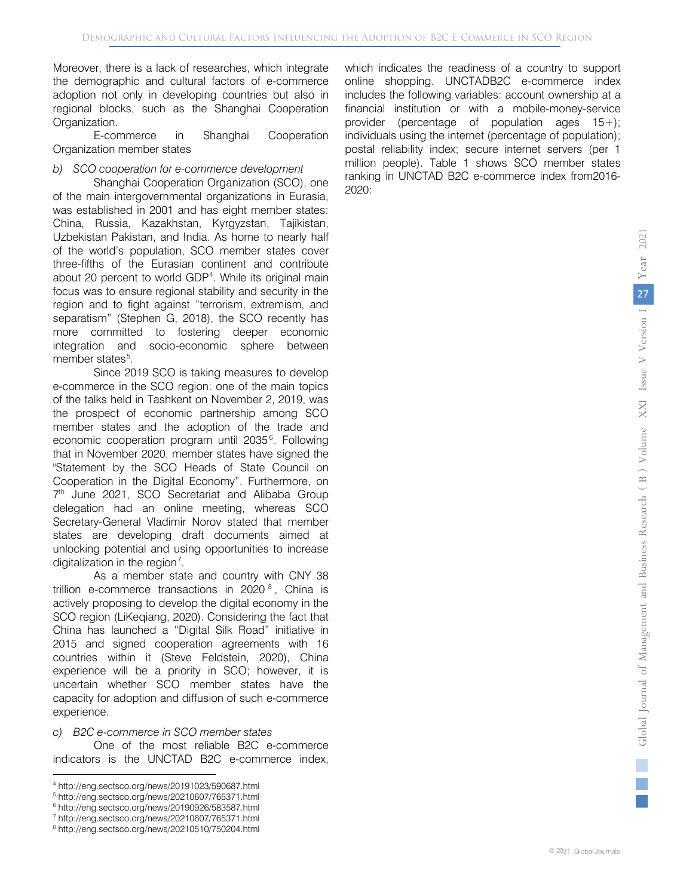Moreover, there is a lack of researches, which integrate the demographic and cultural factors of e-commerce adoption not only in developing countries but also in regional blocks, such as the Shanghai Cooperation Organization.

E-commerce in Shanghai Cooperation Organization member states

#### *b) SCO cooperation for e-commerce development*

Shanghai Cooperation Organization (SCO), one of the main intergovernmental organizations in Eurasia, was established in 2001 and has eight member states: China, Russia, Kazakhstan, Kyrgyzstan, Tajikistan, Uzbekistan Pakistan, and India. As home to nearly half of the world's population, SCO member states cover three-fifths of the Eurasian continent and contribute about 20 percent to world GDP<sup>[4](#page-3-0)</sup>. While its original main focus was to ensure regional stability and security in the region and to fight against "terrorism, extremism, and separatism" (Stephen G, 2018), the SCO recently has more committed to fostering deeper economic integration and socio-economic sphere between member states<sup>[5](#page-3-1)</sup>.

Since 2019 SCO is taking measures to develop e-commerce in the SCO region: one of the main topics of the talks held in Tashkent on November 2, 2019, was the prospect of economic partnership among SCO member states and the adoption of the trade and economic cooperation program until 2035 [6](#page-3-2) . Following that in November 2020, member states have signed the "Statement by the SCO Heads of State Council on Cooperation in the Digital Economy". Furthermore, on 7<sup>th</sup> June 2021, SCO Secretariat and Alibaba Group delegation had an online meeting, whereas SCO Secretary-General Vladimir Norov stated that member states are developing draft documents aimed at unlocking potential and using opportunities to increase digitalization in the region<sup>[7](#page-3-3)</sup>.

As a member state and country with CNY 38 trillion e-commerce transactions in 2020 [8](#page-3-4) , China is actively proposing to develop the digital economy in the SCO region (LiKeqiang, 2020). Considering the fact that China has launched a "Digital Silk Road" initiative in 2015 and signed cooperation agreements with 16 countries within it (Steve Feldstein, 2020), China experience will be a priority in SCO; however, it is uncertain whether SCO member states have the capacity for adoption and diffusion of such e-commerce experience.

 *c) B2C e-commerce in SCO member states*

One of the most reliable B2C e-commerce indicators is the UNCTAD B2C e-commerce index,

which indicates the readiness of a country to support online shopping. UNCTADB2C e-commerce index includes the following variables: account ownership at a financial institution or with a mobile-money-service provider (percentage of population ages 15+); individuals using the internet (percentage of population); postal reliability index; secure internet servers (per 1 million people). Table 1 shows SCO member states ranking in UNCTAD B2C e-commerce index from2016- 2020:

l <sup>4</sup> http://eng.sectsco.org/news/20191023/590687.html

<span id="page-3-1"></span><span id="page-3-0"></span><sup>5</sup> http://eng.sectsco.org/news/20210607/765371.html

<span id="page-3-2"></span><sup>6</sup> http://eng.sectsco.org/news/20190926/583587.html

<span id="page-3-3"></span><sup>7</sup> http://eng.sectsco.org/news/20210607/765371.html

<span id="page-3-4"></span><sup>8</sup> http://eng.sectsco.org/news/20210510/750204.html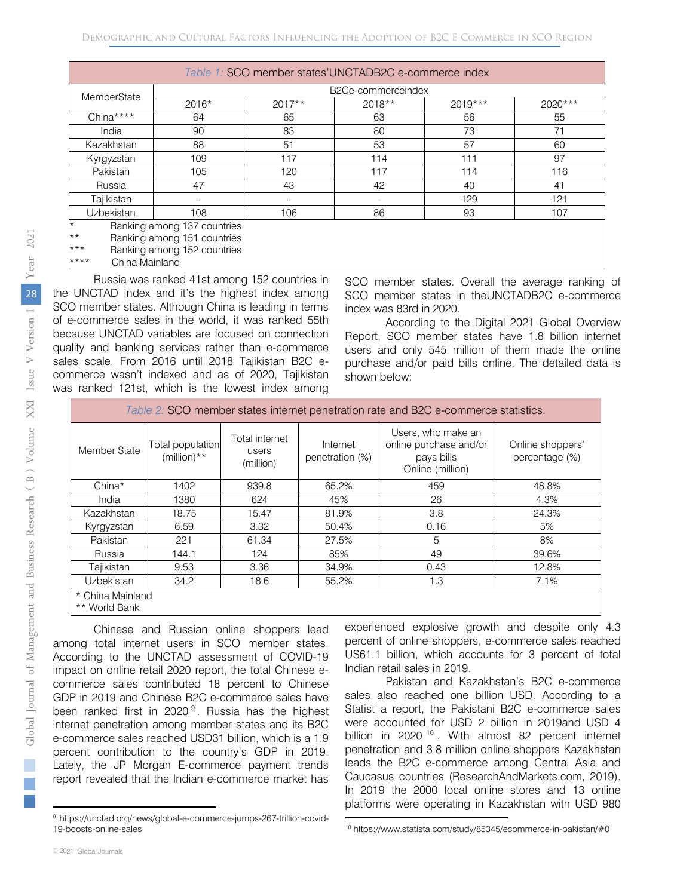|                        | $14000$ T. 000 HIGHNOF GRADO ONOTHER S CONTINUOUS INGOX |          |                    |           |         |  |  |  |  |  |  |  |  |
|------------------------|---------------------------------------------------------|----------|--------------------|-----------|---------|--|--|--|--|--|--|--|--|
| MemberState            |                                                         |          | B2Ce-commerceindex |           |         |  |  |  |  |  |  |  |  |
|                        | 2016*                                                   | $2017**$ | 2018**             | $2019***$ | 2020*** |  |  |  |  |  |  |  |  |
| China****              | 64                                                      | 65       | 63                 | 56        | 55      |  |  |  |  |  |  |  |  |
| India                  | 90                                                      | 83       | 80                 | 73        | 71      |  |  |  |  |  |  |  |  |
| Kazakhstan             | 88                                                      | 51       | 53                 | 57        | 60      |  |  |  |  |  |  |  |  |
| Kyrgyzstan             | 109                                                     | 117      | 114                | 111       | 97      |  |  |  |  |  |  |  |  |
| Pakistan               | 105                                                     | 120      | 117                | 114       | 116     |  |  |  |  |  |  |  |  |
| Russia                 | 47                                                      | 43       | 42                 | 40        | 41      |  |  |  |  |  |  |  |  |
| Tajikistan             |                                                         |          |                    | 129       | 121     |  |  |  |  |  |  |  |  |
| <b>Uzbekistan</b>      | 108                                                     | 106      | 86                 | 93        | 107     |  |  |  |  |  |  |  |  |
| $\star$                | Ranking among 137 countries                             |          |                    |           |         |  |  |  |  |  |  |  |  |
| $\star\star$           | Ranking among 151 countries                             |          |                    |           |         |  |  |  |  |  |  |  |  |
| $***$                  | Ranking among 152 countries                             |          |                    |           |         |  |  |  |  |  |  |  |  |
| ****<br>China Mainland |                                                         |          |                    |           |         |  |  |  |  |  |  |  |  |

Russia was ranked 41st among 152 countries in the UNCTAD index and it's the highest index among SCO member states. Although China is leading in terms of e-commerce sales in the world, it was ranked 55th because UNCTAD variables are focused on connection quality and banking services rather than e-commerce sales scale. From 2016 until 2018 Tajikistan B2C ecommerce wasn't indexed and as of 2020, Tajikistan was ranked 121st, which is the lowest index among

SCO member states. Overall the average ranking of SCO member states in theUNCTADB2C e-commerce index was 83rd in 2020.

According to the Digital 2021 Global Overview Report, SCO member states have 1.8 billion internet users and only 545 million of them made the online purchase and/or paid bills online. The detailed data is shown below:

| Table 2: SCO member states internet penetration rate and B2C e-commerce statistics. |                                    |                                      |                             |                                                                                |                                    |  |  |  |  |  |  |  |
|-------------------------------------------------------------------------------------|------------------------------------|--------------------------------------|-----------------------------|--------------------------------------------------------------------------------|------------------------------------|--|--|--|--|--|--|--|
| Member State                                                                        | Total population<br>(million) $**$ | Total internet<br>users<br>(million) | Internet<br>penetration (%) | Users, who make an<br>online purchase and/or<br>pays bills<br>Online (million) | Online shoppers'<br>percentage (%) |  |  |  |  |  |  |  |
| China*                                                                              | 1402                               | 939.8                                | 65.2%                       | 459                                                                            | 48.8%                              |  |  |  |  |  |  |  |
| India                                                                               | 1380                               | 624                                  | 45%                         | 26                                                                             | 4.3%                               |  |  |  |  |  |  |  |
| Kazakhstan                                                                          | 18.75                              | 15.47                                | 81.9%                       | 3.8                                                                            | 24.3%                              |  |  |  |  |  |  |  |
| Kyrgyzstan                                                                          | 6.59                               | 3.32                                 | 50.4%                       | 0.16                                                                           | 5%                                 |  |  |  |  |  |  |  |
| Pakistan                                                                            | 221                                | 61.34                                | 27.5%                       | 5                                                                              | 8%                                 |  |  |  |  |  |  |  |
| Russia                                                                              | 144.1                              | 124                                  | 85%                         | 49                                                                             | 39.6%                              |  |  |  |  |  |  |  |
| Tajikistan                                                                          | 9.53                               | 3.36                                 | 34.9%                       | 0.43                                                                           | 12.8%                              |  |  |  |  |  |  |  |
| Uzbekistan                                                                          | 34.2                               | 18.6                                 | 55.2%                       | 1.3                                                                            | 7.1%                               |  |  |  |  |  |  |  |
| * China Mainland<br>** World Bank                                                   |                                    |                                      |                             |                                                                                |                                    |  |  |  |  |  |  |  |

Chinese and Russian online shoppers lead among total internet users in SCO member states. According to the UNCTAD assessment of COVID-19 impact on online retail 2020 report, the total Chinese ecommerce sales contributed 18 percent to Chinese GDP in 2019 and Chinese B2C e-commerce sales have been ranked first in 2020<sup>[9](#page-4-0)</sup>. Russia has the highest internet penetration among member states and its B2C e-commerce sales reached USD31 billion, which is a 1.9 percent contribution to the country's GDP in 2019. Lately, the JP Morgan E-commerce payment trends report revealed that the Indian e-commerce market has

experienced explosive growth and despite only 4.3 percent of online shoppers, e-commerce sales reached US61.1 billion, which accounts for 3 percent of total Indian retail sales in 2019.

Pakistan and Kazakhstan's B2C e-commerce sales also reached one billion USD. According to a Statist a report, the Pakistani B2C e-commerce sales were accounted [f](#page-4-1)or USD 2 billion in 2019and USD 4 billion in 2020<sup>10</sup>. With almost 82 percent internet <u>.</u> penetration and 3.8 million online shoppers Kazakhstan leads the B2C e-commerce among Central Asia and Caucasus countries (ResearchAndMarkets.com, 2019). In 2019 the 2000 local online stores and 13 online platforms were operating in Kazakhstan with USD 980

 $\overline{a}$ 

<span id="page-4-0"></span> $\Box$ 

<span id="page-4-1"></span><sup>9</sup> https://unctad.org/news/global-e-commerce-jumps-267-trillion-covid-19-boosts-online-sales

<sup>10</sup> https://www.statista.com/study/85345/ecommerce-in-pakistan/#0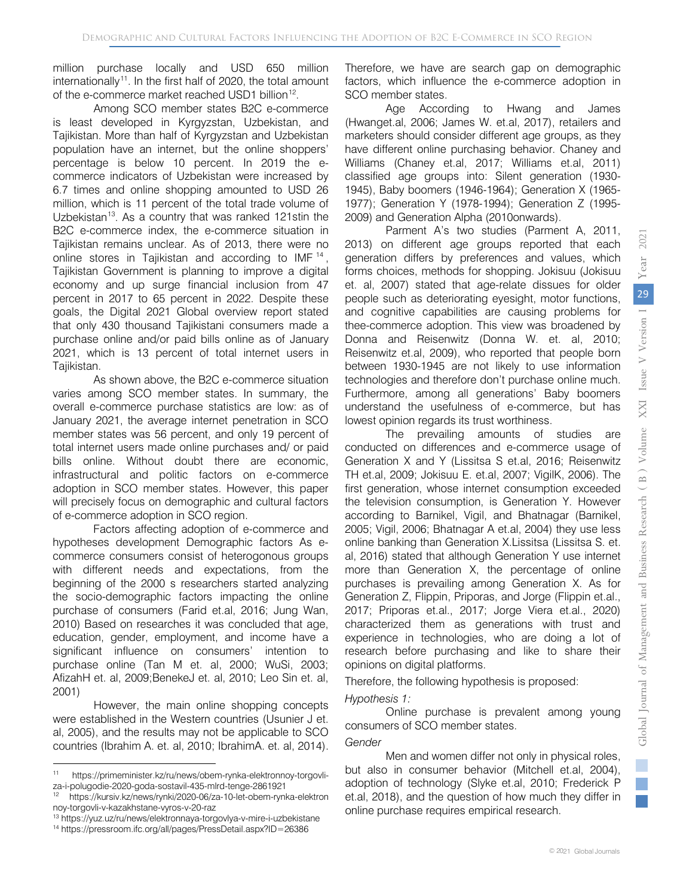million purchase locally and USD 650 million internationally<sup>11</sup>. In the first half of 2020, the total amount of the e-commerce market reached USD1 billion<sup>[12](#page-5-1)</sup>.

Among SCO member states B2C e-commerce is least developed in Kyrgyzstan, Uzbekistan, and Tajikistan. More than half of Kyrgyzstan and Uzbekistan population have an internet, but the online shoppers' percentage is below 10 percent. In 2019 the ecommerce indicators of Uzbekistan were increased by 6.7 times and online shopping amounted to USD 26 million, which is 11 percent of the total trade volume of Uzbekistan<sup>13</sup>. As a country that was ranked 121stin the B2C e-commerce index, the e-commerce situation in Tajikistan remains unclear. As of 2013, there were no online stores in Tajikistan and according to IMF<sup>[14](#page-5-3)</sup>, Tajikistan Government is planning to improve a digital economy and up surge financial inclusion from 47 percent in 2017 to 65 percent in 2022. Despite these goals, the Digital 2021 Global overview report stated that only 430 thousand Tajikistani consumers made a purchase online and/or paid bills online as of January 2021, which is 13 percent of total internet users in Tajikistan.

As shown above, the B2C e-commerce situation varies among SCO member states. In summary, the overall e-commerce purchase statistics are low: as of January 2021, the average internet penetration in SCO member states was 56 percent, and only 19 percent of total internet users made online purchases and/ or paid bills online. Without doubt there are economic, infrastructural and politic factors on e-commerce adoption in SCO member states. However, this paper will precisely focus on demographic and cultural factors of e-commerce adoption in SCO region.

Factors affecting adoption of e-commerce and hypotheses development Demographic factors As ecommerce consumers consist of heterogonous groups with different needs and expectations, from the beginning of the 2000 s researchers started analyzing the socio-demographic factors impacting the online purchase of consumers (Farid et.al, 2016; Jung Wan, 2010) Based on researches it was concluded that age, education, gender, employment, and income have a significant influence on consumers' intention to purchase online (Tan M et. al, 2000; WuSi, 2003; AfizahH et. al, 2009;BenekeJ et. al, 2010; Leo Sin et. al, 2001)

However, the main online shopping concepts were established in the Western countries (Usunier J et. al, 2005), and the results may not be applicable to SCO countries (Ibrahim A. et. al, 2010; IbrahimA. et. al, 2014).

 $\overline{a}$ 

Therefore, we have are search gap on demographic factors, which influence the e-commerce adoption in SCO member states.

Age According to Hwang and James (Hwanget.al, 2006; James W. et.al, 2017), retailers and marketers should consider different age groups, as they have different online purchasing behavior. Chaney and Williams (Chaney et.al, 2017; Williams et.al, 2011) classified age groups into: Silent generation (1930- 1945), Baby boomers (1946-1964); Generation X (1965- 1977); Generation Y (1978-1994); Generation Z (1995- 2009) and Generation Alpha (2010onwards).

Parment A's two studies (Parment A, 2011, 2013) on different age groups reported that each generation differs by preferences and values, which forms choices, methods for shopping. Jokisuu (Jokisuu et. al, 2007) stated that age-relate dissues for older people such as deteriorating eyesight, motor functions, and cognitive capabilities are causing problems for thee-commerce adoption. This view was broadened by Donna and Reisenwitz (Donna W. et. al, 2010; Reisenwitz et.al, 2009), who reported that people born between 1930-1945 are not likely to use information technologies and therefore don't purchase online much. Furthermore, among all generations' Baby boomers understand the usefulness of e-commerce, but has lowest opinion regards its trust worthiness.

The prevailing amounts of studies are conducted on differences and e-commerce usage of Generation X and Y (Lissitsa S et.al, 2016; Reisenwitz TH et.al, 2009; Jokisuu E. et.al, 2007; VigilK, 2006). The first generation, whose internet consumption exceeded the television consumption, is Generation Y. However according to Barnikel, Vigil, and Bhatnagar (Barnikel, 2005; Vigil, 2006; Bhatnagar A et.al, 2004) they use less online banking than Generation X.Lissitsa (Lissitsa S. et. al, 2016) stated that although Generation Y use internet more than Generation X, the percentage of online purchases is prevailing among Generation X. As for Generation Z, Flippin, Priporas, and Jorge (Flippin et.al., 2017; Priporas et.al., 2017; Jorge Viera et.al., 2020) characterized them as generations with trust and experience in technologies, who are doing a lot of research before purchasing and like to share their opinions on digital platforms.

Therefore, the following hypothesis is proposed:

#### *Hypothesis 1:*

Online purchase is prevalent among young consumers of SCO member states.

#### *Gender*

Men and women differ not only in physical roles, but also in consumer behavior (Mitchell et.al, 2004), adoption of technology (Slyke et.al, 2010; Frederick P et.al, 2018), and the question of how much they differ in online purchase requires empirical research.

<span id="page-5-0"></span><sup>11</sup> https://primeminister.kz/ru/news/obem-rynka-elektronnoy-torgovliza-i-polugodie-2020-goda-sostavil-435-mlrd-tenge-2861921

<span id="page-5-1"></span>https://kursiv.kz/news/rynki/2020-06/za-10-let-obem-rynka-elektron noy-torgovli-v-kazakhstane-vyros-v-20-raz

<span id="page-5-2"></span><sup>13</sup> https://yuz.uz/ru/news/elektronnaya-torgovlya-v-mire-i-uzbekistane

<span id="page-5-3"></span><sup>14</sup> https://pressroom.ifc.org/all/pages/PressDetail.aspx?ID=26386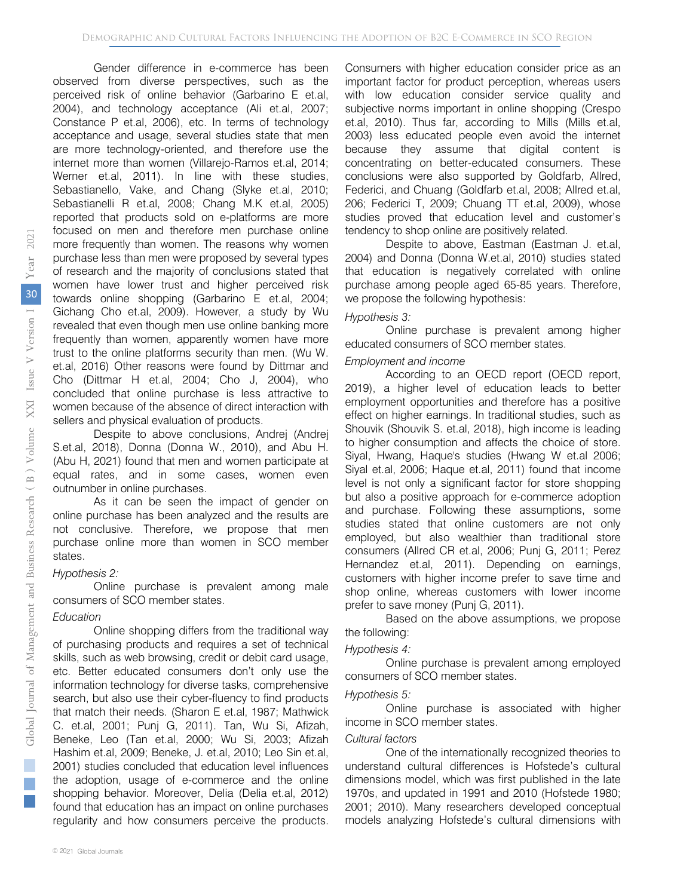Gender difference in e-commerce has been observed from diverse perspectives, such as the perceived risk of online behavior (Garbarino E et.al, 2004), and technology acceptance (Ali et.al, 2007; Constance P et.al, 2006), etc. In terms of technology acceptance and usage, several studies state that men are more technology-oriented, and therefore use the internet more than women (Villarejo-Ramos et.al, 2014; Werner et.al, 2011). In line with these studies, Sebastianello, Vake, and Chang (Slyke et.al, 2010; Sebastianelli R et.al, 2008; Chang M.K et.al, 2005) reported that products sold on e-platforms are more focused on men and therefore men purchase online more frequently than women. The reasons why women purchase less than men were proposed by several types of research and the majority of conclusions stated that women have lower trust and higher perceived risk towards online shopping (Garbarino E et.al, 2004; Gichang Cho et.al, 2009). However, a study by Wu revealed that even though men use online banking more frequently than women, apparently women have more trust to the online platforms security than men. (Wu W. et.al, 2016) Other reasons were found by Dittmar and Cho (Dittmar H et.al, 2004; Cho J, 2004), who concluded that online purchase is less attractive to women because of the absence of direct interaction with sellers and physical evaluation of products.

Despite to above conclusions, Andrej (Andrej S.et.al, 2018), Donna (Donna W., 2010), and Abu H. (Abu H, 2021) found that men and women participate at equal rates, and in some cases, women even outnumber in online purchases.

As it can be seen the impact of gender on online purchase has been analyzed and the results are not conclusive. Therefore, we propose that men purchase online more than women in SCO member states.

#### *Hypothesis 2:*

Online purchase is prevalent among male consumers of SCO member states.

#### *Education*

Online shopping differs from the traditional way of purchasing products and requires a set of technical skills, such as web browsing, credit or debit card usage, etc. Better educated consumers don't only use the information technology for diverse tasks, comprehensive search, but also use their cyber-fluency to find products that match their needs. (Sharon E et.al, 1987; Mathwick C. et.al, 2001; Punj G, 2011). Tan, Wu Si, Afizah, Beneke, Leo (Tan et.al, 2000; Wu Si, 2003; Afizah Hashim et.al, 2009; Beneke, J. et.al, 2010; Leo Sin et.al, 2001) studies concluded that education level influences the adoption, usage of e-commerce and the online shopping behavior. Moreover, Delia (Delia et.al, 2012) found that education has an impact on online purchases regularity and how consumers perceive the products.

Consumers with higher education consider price as an important factor for product perception, whereas users with low education consider service quality and subjective norms important in online shopping (Crespo et.al, 2010). Thus far, according to Mills (Mills et.al, 2003) less educated people even avoid the internet because they assume that digital content is concentrating on better-educated consumers. These conclusions were also supported by Goldfarb, Allred, Federici, and Chuang (Goldfarb et.al, 2008; Allred et.al, 206; Federici T, 2009; Chuang TT et.al, 2009), whose studies proved that education level and customer's tendency to shop online are positively related.

Despite to above, Eastman (Eastman J. et.al, 2004) and Donna (Donna W.et.al, 2010) studies stated that education is negatively correlated with online purchase among people aged 65-85 years. Therefore, we propose the following hypothesis:

#### *Hypothesis 3:*

Online purchase is prevalent among higher educated consumers of SCO member states.

#### *Employment and income*

According to an OECD report (OECD report, 2019), a higher level of education leads to better employment opportunities and therefore has a positive effect on higher earnings. In traditional studies, such as Shouvik (Shouvik S. et.al, 2018), high income is leading to higher consumption and affects the choice of store. Siyal, Hwang, Haque's studies (Hwang W et.al 2006; Siyal et.al, 2006; Haque et.al, 2011) found that income level is not only a significant factor for store shopping but also a positive approach for e-commerce adoption and purchase. Following these assumptions, some studies stated that online customers are not only employed, but also wealthier than traditional store consumers (Allred CR et.al, 2006; Punj G, 2011; Perez Hernandez et.al, 2011). Depending on earnings, customers with higher income prefer to save time and shop online, whereas customers with lower income prefer to save money (Punj G, 2011).

Based on the above assumptions, we propose the following:

#### *Hypothesis 4:*

Online purchase is prevalent among employed consumers of SCO member states.

#### *Hypothesis 5:*

Online purchase is associated with higher income in SCO member states.

#### *Cultural factors*

One of the internationally recognized theories to understand cultural differences is Hofstede's cultural dimensions model, which was first published in the late 1970s, and updated in 1991 and 2010 (Hofstede 1980; 2001; 2010). Many researchers developed conceptual models analyzing Hofstede's cultural dimensions with

Т.  $\mathbb{R}^n$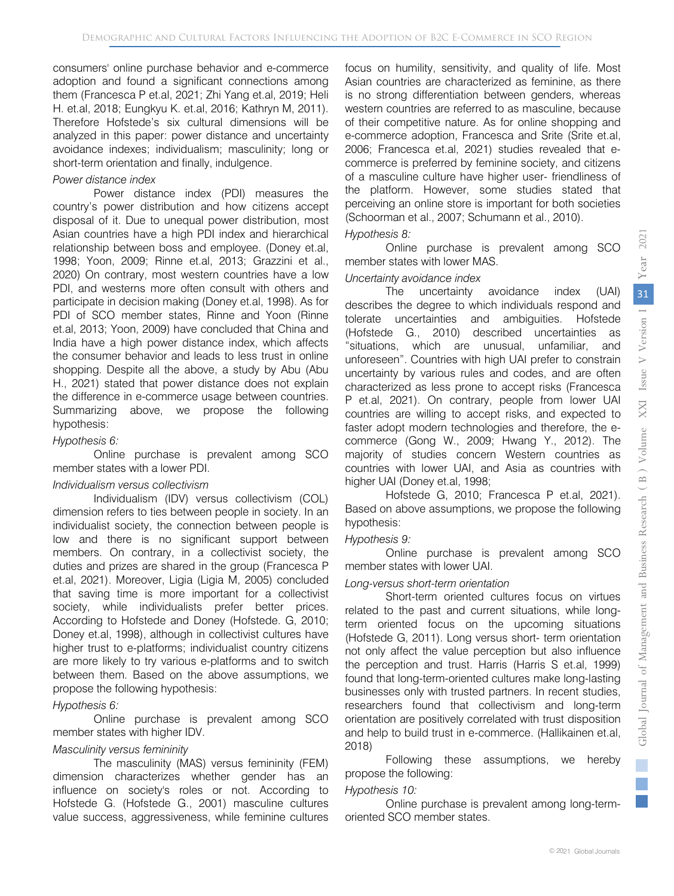consumers' online purchase behavior and e-commerce adoption and found a significant connections among them (Francesca P et.al, 2021; Zhi Yang et.al, 2019; Heli H. et.al, 2018; Eungkyu K. et.al, 2016; Kathryn M, 2011). Therefore Hofstede's six cultural dimensions will be analyzed in this paper: power distance and uncertainty avoidance indexes; individualism; masculinity; long or short-term orientation and finally, indulgence.

#### *Power distance index*

Power distance index (PDI) measures the country's power distribution and how citizens accept disposal of it. Due to unequal power distribution, most Asian countries have a high PDI index and hierarchical relationship between boss and employee. (Doney et.al, 1998; Yoon, 2009; Rinne et.al, 2013; Grazzini et al., 2020) On contrary, most western countries have a low PDI, and westerns more often consult with others and participate in decision making (Doney et.al, 1998). As for PDI of SCO member states, Rinne and Yoon (Rinne et.al, 2013; Yoon, 2009) have concluded that China and India have a high power distance index, which affects the consumer behavior and leads to less trust in online shopping. Despite all the above, a study by Abu (Abu H., 2021) stated that power distance does not explain the difference in e-commerce usage between countries. Summarizing above, we propose the following hypothesis:

#### *Hypothesis 6:*

Online purchase is prevalent among SCO member states with a lower PDI.

#### *Individualism versus collectivism*

Individualism (IDV) versus collectivism (COL) dimension refers to ties between people in society. In an individualist society, the connection between people is low and there is no significant support between members. On contrary, in a collectivist society, the duties and prizes are shared in the group (Francesca P et.al, 2021). Moreover, Ligia (Ligia M, 2005) concluded that saving time is more important for a collectivist society, while individualists prefer better prices. According to Hofstede and Doney (Hofstede. G, 2010; Doney et.al, 1998), although in collectivist cultures have higher trust to e-platforms; individualist country citizens are more likely to try various e-platforms and to switch between them. Based on the above assumptions, we propose the following hypothesis:

#### *Hypothesis 6:*

Online purchase is prevalent among SCO member states with higher IDV.

#### *Masculinity versus femininity*

The masculinity (MAS) versus femininity (FEM) dimension characterizes whether gender has an influence on society's roles or not. According to Hofstede G. (Hofstede G., 2001) masculine cultures value success, aggressiveness, while feminine cultures focus on humility, sensitivity, and quality of life. Most Asian countries are characterized as feminine, as there is no strong differentiation between genders, whereas western countries are referred to as masculine, because of their competitive nature. As for online shopping and e-commerce adoption, Francesca and Srite (Srite et.al, 2006; Francesca et.al, 2021) studies revealed that ecommerce is preferred by feminine society, and citizens of a masculine culture have higher user- friendliness of the platform. However, some studies stated that perceiving an online store is important for both societies (Schoorman et al., 2007; Schumann et al., 2010).

#### *Hypothesis 8:*

Online purchase is prevalent among SCO member states with lower MAS.

#### *Uncertainty avoidance index*

The uncertainty avoidance index (UAI) describes the degree to which individuals respond and tolerate uncertainties and ambiguities. Hofstede (Hofstede G., 2010) described uncertainties as "situations, which are unusual, unfamiliar, and unforeseen". Countries with high UAI prefer to constrain uncertainty by various rules and codes, and are often characterized as less prone to accept risks (Francesca P et.al, 2021). On contrary, people from lower UAI countries are willing to accept risks, and expected to faster adopt modern technologies and therefore, the ecommerce (Gong W., 2009; Hwang Y., 2012). The majority of studies concern Western countries as countries with lower UAI, and Asia as countries with higher UAI (Doney et.al, 1998;

Hofstede G, 2010; Francesca P et.al, 2021). Based on above assumptions, we propose the following hypothesis:

#### *Hypothesis 9:*

Online purchase is prevalent among SCO member states with lower UAI.

#### *Long-versus short-term orientation*

Short-term oriented cultures focus on virtues related to the past and current situations, while longterm oriented focus on the upcoming situations (Hofstede G, 2011). Long versus short- term orientation not only affect the value perception but also influence the perception and trust. Harris (Harris S et.al, 1999) found that long-term-oriented cultures make long-lasting businesses only with trusted partners. In recent studies, researchers found that collectivism and long-term orientation are positively correlated with trust disposition and help to build trust in e-commerce. (Hallikainen et.al, 2018)

Following these assumptions, we hereby propose the following:

#### *Hypothesis 10:*

Online purchase is prevalent among long-termoriented SCO member states.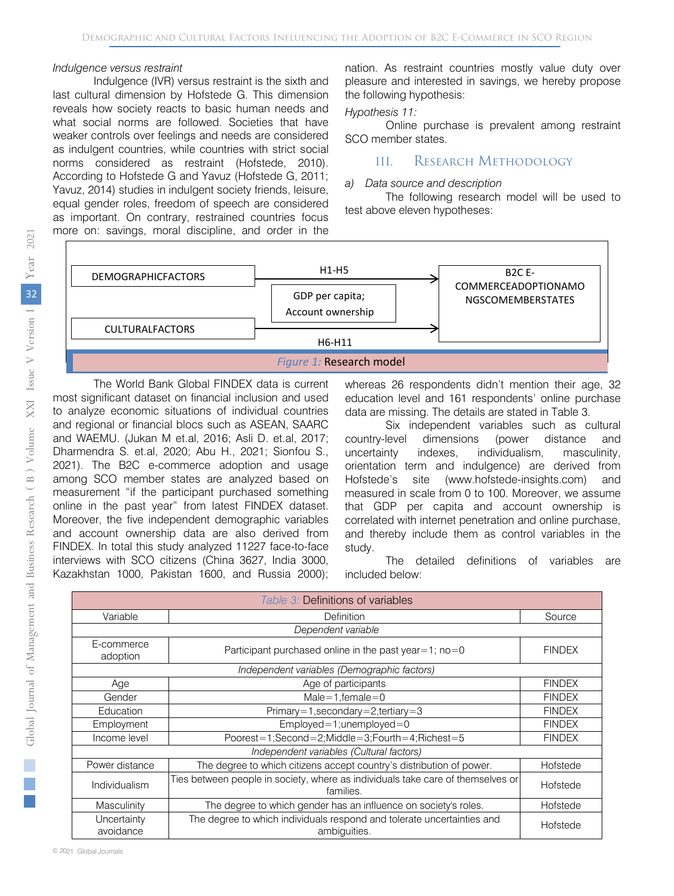#### *Indulgence versus restraint*

Indulgence (IVR) versus restraint is the sixth and last cultural dimension by Hofstede G. This dimension reveals how society reacts to basic human needs and what social norms are followed. Societies that have weaker controls over feelings and needs are considered as indulgent countries, while countries with strict social norms considered as restraint (Hofstede, 2010). According to Hofstede G and Yavuz (Hofstede G, 2011; Yavuz, 2014) studies in indulgent society friends, leisure, equal gender roles, freedom of speech are considered as important. On contrary, restrained countries focus more on: savings, moral discipline, and order in the nation. As restraint countries mostly value duty over pleasure and interested in savings, we hereby propose the following hypothesis:

#### *Hypothesis 11:*

Online purchase is prevalent among restraint SCO member states.

# III. RESEARCH METHODOLOGY

#### *a) Data source and description*

The following research model will be used to test above eleven hypotheses:



The World Bank Global FINDEX data is current most significant dataset on financial inclusion and used to analyze economic situations of individual countries and regional or financial blocs such as ASEAN, SAARC and WAEMU. (Jukan M et.al, 2016; Asli D. et.al, 2017; Dharmendra S. et.al, 2020; Abu H., 2021; Sionfou S., 2021). The B2C e-commerce adoption and usage among SCO member states are analyzed based on measurement "if the participant purchased something online in the past year" from latest FINDEX dataset. Moreover, the five independent demographic variables and account ownership data are also derived from FINDEX. In total this study analyzed 11227 face-to-face interviews with SCO citizens (China 3627, India 3000, Kazakhstan 1000, Pakistan 1600, and Russia 2000);

whereas 26 respondents didn't mention their age, 32 education level and 161 respondents' online purchase data are missing. The details are stated in Table 3.

Six independent variables such as cultural country-level dimensions (power distance and uncertainty indexes, individualism, masculinity, orientation term and indulgence) are derived from Hofstede's site (www.hofstede-insights.com) and measured in scale from 0 to 100. Moreover, we assume that GDP per capita and account ownership is correlated with internet penetration and online purchase, and thereby include them as control variables in the study.

The detailed definitions of variables are included below:

| Table 3: Definitions of variables |                                                                                              |               |  |  |  |  |  |  |  |
|-----------------------------------|----------------------------------------------------------------------------------------------|---------------|--|--|--|--|--|--|--|
| Variable                          | Definition                                                                                   | Source        |  |  |  |  |  |  |  |
|                                   |                                                                                              |               |  |  |  |  |  |  |  |
| E-commerce<br>adoption            | Participant purchased online in the past year = 1; no = 0                                    | <b>FINDEX</b> |  |  |  |  |  |  |  |
|                                   | Independent variables (Demographic factors)                                                  |               |  |  |  |  |  |  |  |
| Age                               | Age of participants                                                                          | <b>FINDEX</b> |  |  |  |  |  |  |  |
| Gender                            | $Male = 1$ , female = 0                                                                      | <b>FINDEX</b> |  |  |  |  |  |  |  |
| Education                         | Primary=1,secondary=2,tertiary=3                                                             | <b>FINDEX</b> |  |  |  |  |  |  |  |
| Employment                        | $Emploved = 1; unemploved = 0$                                                               | <b>FINDEX</b> |  |  |  |  |  |  |  |
| Income level                      | Poorest=1;Second=2;Middle=3;Fourth=4;Richest=5                                               | <b>FINDEX</b> |  |  |  |  |  |  |  |
|                                   | Independent variables (Cultural factors)                                                     |               |  |  |  |  |  |  |  |
| Power distance                    | The degree to which citizens accept country's distribution of power.                         | Hofstede      |  |  |  |  |  |  |  |
| Individualism                     | Ties between people in society, where as individuals take care of themselves or<br>families. | Hofstede      |  |  |  |  |  |  |  |
| Masculinity                       | The degree to which gender has an influence on society's roles.                              | Hofstede      |  |  |  |  |  |  |  |
| Uncertainty<br>avoidance          | The degree to which individuals respond and tolerate uncertainties and<br>ambiquities.       | Hofstede      |  |  |  |  |  |  |  |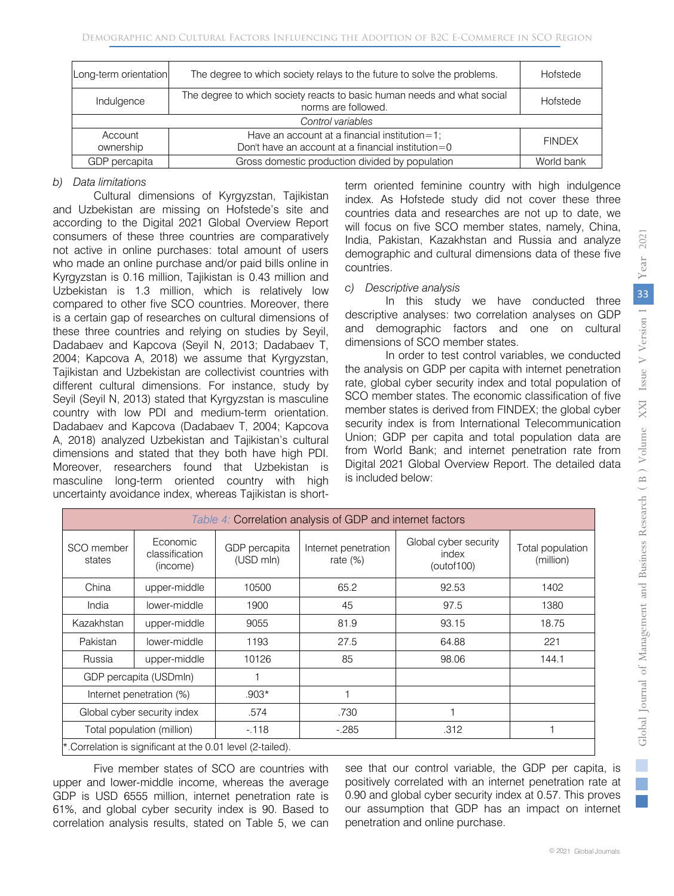| Long-term orientation | The degree to which society relays to the future to solve the problems.                             | Hofstede      |  |  |  |  |  |
|-----------------------|-----------------------------------------------------------------------------------------------------|---------------|--|--|--|--|--|
| Indulgence            | Hofstede                                                                                            |               |  |  |  |  |  |
| Control variables     |                                                                                                     |               |  |  |  |  |  |
| Account<br>ownership  | Have an account at a financial institution=1;<br>Don't have an account at a financial institution=0 | <b>FINDEX</b> |  |  |  |  |  |
| GDP percapita         | Gross domestic production divided by population                                                     | World bank    |  |  |  |  |  |

#### *b) Data limitations*

Cultural dimensions of Kyrgyzstan, Tajikistan and Uzbekistan are missing on Hofstede's site and according to the Digital 2021 Global Overview Report consumers of these three countries are comparatively not active in online purchases: total amount of users who made an online purchase and/or paid bills online in Kyrgyzstan is 0.16 million, Tajikistan is 0.43 million and Uzbekistan is 1.3 million, which is relatively low compared to other five SCO countries. Moreover, there is a certain gap of researches on cultural dimensions of these three countries and relying on studies by Seyil, Dadabaev and Kapcova (Seyil N, 2013; Dadabaev T, 2004; Kapcova A, 2018) we assume that Kyrgyzstan, Tajikistan and Uzbekistan are collectivist countries with different cultural dimensions. For instance, study by Seyil (Seyil N, 2013) stated that Kyrgyzstan is masculine country with low PDI and medium-term orientation. Dadabaev and Kapcova (Dadabaev T, 2004; Kapcova A, 2018) analyzed Uzbekistan and Tajikistan's cultural dimensions and stated that they both have high PDI. Moreover, researchers found that Uzbekistan is masculine long-term oriented country with high uncertainty avoidance index, whereas Tajikistan is shortterm oriented feminine country with high indulgence index. As Hofstede study did not cover these three countries data and researches are not up to date, we will focus on five SCO member states, namely, China, India, Pakistan, Kazakhstan and Russia and analyze demographic and cultural dimensions data of these five countries.

#### *c) Descriptive analysis*

In this study we have conducted three descriptive analyses: two correlation analyses on GDP and demographic factors and one on cultural dimensions of SCO member states.

In order to test control variables, we conducted the analysis on GDP per capita with internet penetration rate, global cyber security index and total population of SCO member states. The economic classification of five member states is derived from FINDEX; the global cyber security index is from International Telecommunication Union; GDP per capita and total population data are from World Bank; and internet penetration rate from Digital 2021 Global Overview Report. The detailed data is included below:

|                      | Table 4: Correlation analysis of GDP and internet factors  |                            |                                     |                                              |                               |  |  |  |  |  |  |  |  |
|----------------------|------------------------------------------------------------|----------------------------|-------------------------------------|----------------------------------------------|-------------------------------|--|--|--|--|--|--|--|--|
| SCO member<br>states | Economic<br>classification<br>(income)                     | GDP percapita<br>(USD mln) | Internet penetration<br>rate $(\%)$ | Global cyber security<br>index<br>(outof100) | Total population<br>(million) |  |  |  |  |  |  |  |  |
| China                | upper-middle                                               | 10500                      | 65.2                                | 92.53                                        | 1402                          |  |  |  |  |  |  |  |  |
| India                | lower-middle                                               | 1900                       | 45                                  | 97.5                                         | 1380                          |  |  |  |  |  |  |  |  |
| Kazakhstan           | upper-middle                                               | 9055                       | 81.9                                | 93.15                                        | 18.75                         |  |  |  |  |  |  |  |  |
| Pakistan             | lower-middle                                               | 1193                       | 27.5                                | 64.88                                        | 221                           |  |  |  |  |  |  |  |  |
| Russia               | upper-middle                                               | 10126                      | 85                                  | 98.06                                        | 144.1                         |  |  |  |  |  |  |  |  |
|                      | GDP percapita (USDmln)                                     |                            |                                     |                                              |                               |  |  |  |  |  |  |  |  |
|                      | Internet penetration (%)                                   | $.903*$                    |                                     |                                              |                               |  |  |  |  |  |  |  |  |
|                      | Global cyber security index                                | .574                       | .730                                |                                              |                               |  |  |  |  |  |  |  |  |
|                      | Total population (million)                                 | $-118$                     | $-285$                              | .312                                         | 1                             |  |  |  |  |  |  |  |  |
|                      | * Correlation is significant at the 0.01 level (2-tailed). |                            |                                     |                                              |                               |  |  |  |  |  |  |  |  |

Five member states of SCO are countries with upper and lower-middle income, whereas the average GDP is USD 6555 million, internet penetration rate is 61%, and global cyber security index is 90. Based to correlation analysis results, stated on Table 5, we can

see that our control variable, the GDP per capita, is positively correlated with an internet penetration rate at 0.90 and global cyber security index at 0.57. This proves our assumption that GDP has an impact on internet penetration and online purchase.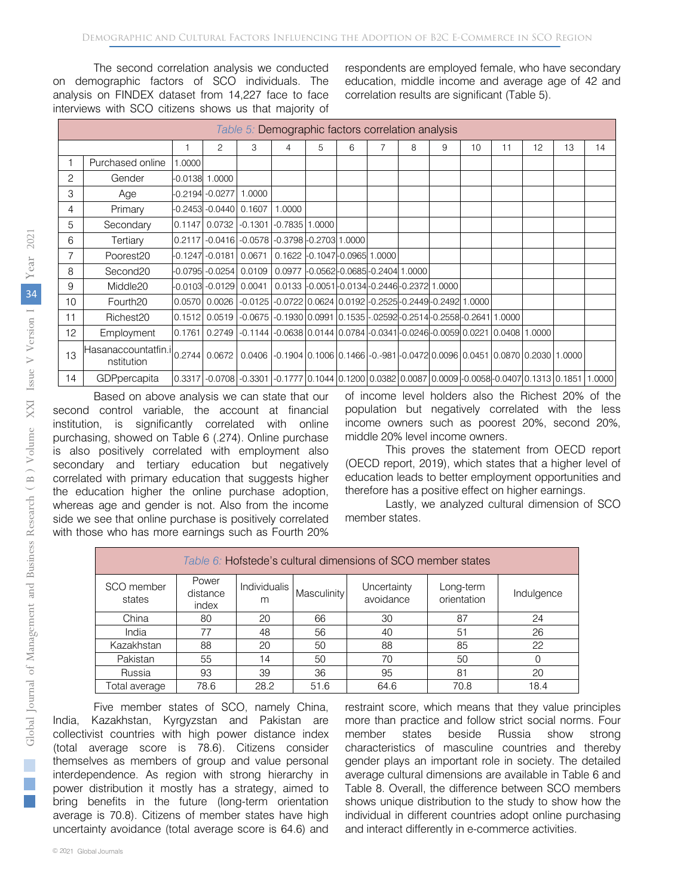The second correlation analysis we conducted on demographic factors of SCO individuals. The analysis on FINDEX dataset from 14,227 face to face interviews with SCO citizens shows us that majority of respondents are employed female, who have secondary education, middle income and average age of 42 and correlation results are significant (Table 5).

|    | Table 5: Demographic factors correlation analysis       |        |                        |        |                                                                                                             |   |   |  |   |   |    |    |    |    |    |
|----|---------------------------------------------------------|--------|------------------------|--------|-------------------------------------------------------------------------------------------------------------|---|---|--|---|---|----|----|----|----|----|
|    |                                                         |        |                        |        |                                                                                                             |   |   |  |   |   |    |    |    |    |    |
|    |                                                         |        | 2                      | 3      | 4                                                                                                           | 5 | 6 |  | 8 | 9 | 10 | 11 | 12 | 13 | 14 |
|    | Purchased online                                        | 1.0000 |                        |        |                                                                                                             |   |   |  |   |   |    |    |    |    |    |
| 2  | Gender                                                  |        | $-0.0138$ 1.0000       |        |                                                                                                             |   |   |  |   |   |    |    |    |    |    |
| 3  | Age                                                     |        | -0.2194 -0.0277 1.0000 |        |                                                                                                             |   |   |  |   |   |    |    |    |    |    |
| 4  | Primary                                                 |        | $-0.2453 - 0.0440$     | 0.1607 | 1.0000                                                                                                      |   |   |  |   |   |    |    |    |    |    |
| 5  | Secondary                                               |        | 0.1147 0.0732          |        | $-0.1301$ $-0.7835$ $1.0000$                                                                                |   |   |  |   |   |    |    |    |    |    |
| 6  | Tertiary                                                |        |                        |        | 0.2117 - 0.0416 - 0.0578 - 0.3798 - 0.2703 1.0000                                                           |   |   |  |   |   |    |    |    |    |    |
| 7  | Poorest20                                               |        | $-0.1247 - 0.0181$     | 0.0671 | 0.1622 -0.1047 - 0.0965 1.0000                                                                              |   |   |  |   |   |    |    |    |    |    |
| 8  | Second <sub>20</sub>                                    |        |                        |        | -0.0795 -0.0254 0.0109 0.0977 -0.0562 -0.0685 -0.2404 1.0000                                                |   |   |  |   |   |    |    |    |    |    |
| 9  | Middle <sub>20</sub>                                    |        | -0.0103 -0.0129 0.0041 |        | 0.0133 -0.0051 - 0.0134 - 0.2446 - 0.2372 1.0000                                                            |   |   |  |   |   |    |    |    |    |    |
| 10 | Fourth <sub>20</sub>                                    |        | 0.0570 0.0026          |        | -0.0125 -0.0722 0.0624 0.0192 -0.2525 -0.2449 -0.2492 1.0000                                                |   |   |  |   |   |    |    |    |    |    |
| 11 | Richest <sub>20</sub>                                   |        |                        |        | $0.1512$ $0.0519$ $-0.0675$ $-0.1930$ $0.0991$ $0.1535$ $-0.2592$ $-0.2514$ $-0.2558$ $-0.2641$ $1.0000$    |   |   |  |   |   |    |    |    |    |    |
| 12 | Employment                                              |        |                        |        | 0.1761 0.2749 -0.1144 -0.0638 0.0144 0.0784 -0.0341 -0.0246 -0.0059 0.0221 0.0408 1.0000                    |   |   |  |   |   |    |    |    |    |    |
| 13 | Hasanaccountatfin.i <br>0.2744   0.0672  <br>nstitution |        |                        |        | $0.0406$ $-0.1904$ $0.1006$ $0.1466$ $-0.981$ $-0.0472$ $0.0096$ $0.0451$ $0.0870$ $0.2030$ $1.0000$        |   |   |  |   |   |    |    |    |    |    |
| 14 | GDPpercapita                                            |        |                        |        | 0.3317 - 0.0708 - 0.3301 - 0.1777 0.1044 0.1200 0.0382 0.0087 0.0009 - 0.0058 - 0.0407 0.1313 0.1851 1.0000 |   |   |  |   |   |    |    |    |    |    |

Based on above analysis we can state that our second control variable, the account at financial institution, is significantly correlated with online purchasing, showed on Table 6 (.274). Online purchase is also positively correlated with employment also secondary and tertiary education but negatively correlated with primary education that suggests higher the education higher the online purchase adoption, whereas age and gender is not. Also from the income side we see that online purchase is positively correlated with those who has more earnings such as Fourth 20% of income level holders also the Richest 20% of the population but negatively correlated with the less income owners such as poorest 20%, second 20%, middle 20% level income owners.

This proves the statement from OECD report (OECD report, 2019), which states that a higher level of education leads to better employment opportunities and therefore has a positive effect on higher earnings.

Lastly, we analyzed cultural dimension of SCO member states.

|                      | Table 6: Hofstede's cultural dimensions of SCO member states |                          |             |                          |                          |            |  |  |  |  |  |  |  |
|----------------------|--------------------------------------------------------------|--------------------------|-------------|--------------------------|--------------------------|------------|--|--|--|--|--|--|--|
| SCO member<br>states | Power<br>distance<br>index                                   | <b>Individualis</b><br>m | Masculinity | Uncertainty<br>avoidance | Long-term<br>orientation | Indulgence |  |  |  |  |  |  |  |
| China                | 80                                                           | 20                       | 66          | 30                       | 87                       | 24         |  |  |  |  |  |  |  |
| India                | 77                                                           | 48                       | 56          | 40                       | 51                       | 26         |  |  |  |  |  |  |  |
| Kazakhstan           | 88                                                           | 20                       | 50          | 88                       | 85                       | 22         |  |  |  |  |  |  |  |
| Pakistan             | 55                                                           | 14                       | 50          | 70                       | 50                       | 0          |  |  |  |  |  |  |  |
| Russia               | 93                                                           | 39                       | 36          | 95                       | 81                       | 20         |  |  |  |  |  |  |  |
| Total average        | 78.6                                                         | 28.2                     | 51.6        | 64.6                     | 70.8                     | 18.4       |  |  |  |  |  |  |  |

Five member states of SCO, namely China, India, Kazakhstan, Kyrgyzstan and Pakistan are collectivist countries with high power distance index (total average score is 78.6). Citizens consider themselves as members of group and value personal interdependence. As region with strong hierarchy in power distribution it mostly has a strategy, aimed to bring benefits in the future (long-term orientation average is 70.8). Citizens of member states have high uncertainty avoidance (total average score is 64.6) and restraint score, which means that they value principles more than practice and follow strict social norms. Four member states beside Russia show strong characteristics of masculine countries and thereby gender plays an important role in society. The detailed average cultural dimensions are available in Table 6 and Table 8. Overall, the difference between SCO members shows unique distribution to the study to show how the individual in different countries adopt online purchasing and interact differently in e-commerce activities.

 $\mathbb{R}^n$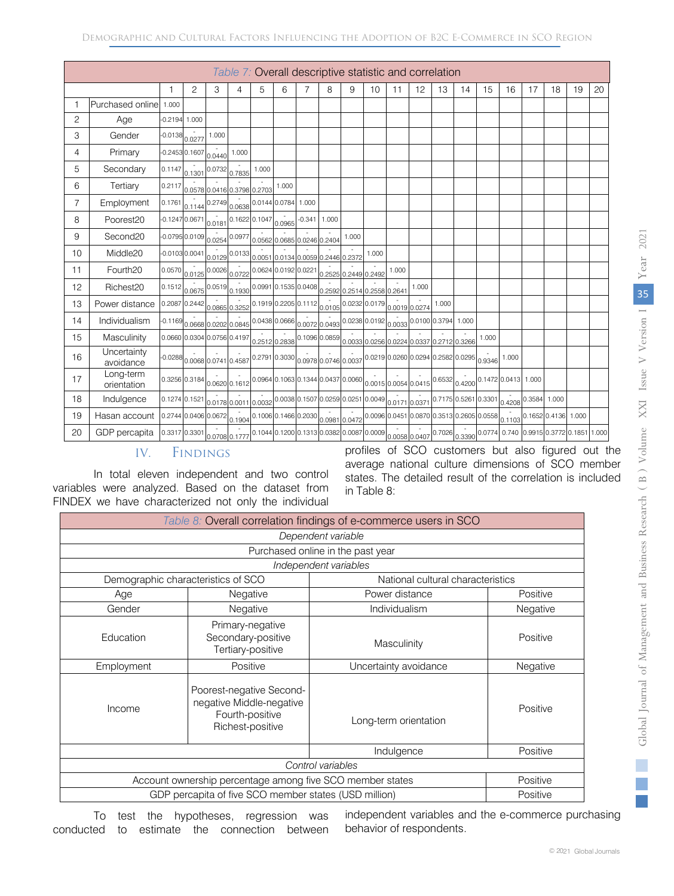|                | Table 7: Overall descriptive statistic and correlation |                 |                                |                      |                                                                                                                                               |       |                             |          |                                                             |       |               |               |                                                                                                                                                                                                                                                                                  |       |       |       |                       |    |    |    |    |
|----------------|--------------------------------------------------------|-----------------|--------------------------------|----------------------|-----------------------------------------------------------------------------------------------------------------------------------------------|-------|-----------------------------|----------|-------------------------------------------------------------|-------|---------------|---------------|----------------------------------------------------------------------------------------------------------------------------------------------------------------------------------------------------------------------------------------------------------------------------------|-------|-------|-------|-----------------------|----|----|----|----|
|                |                                                        |                 | $\overline{c}$                 | 3                    | 4                                                                                                                                             | 5     | 6                           | 7        | 8                                                           | 9     | 10            | 11            | 12                                                                                                                                                                                                                                                                               | 13    | 14    | 15    | 16                    | 17 | 18 | 19 | 20 |
| 1              | Purchased online 1.000                                 |                 |                                |                      |                                                                                                                                               |       |                             |          |                                                             |       |               |               |                                                                                                                                                                                                                                                                                  |       |       |       |                       |    |    |    |    |
| 2              | Age                                                    | $-0.2194$       | 1.000                          |                      |                                                                                                                                               |       |                             |          |                                                             |       |               |               |                                                                                                                                                                                                                                                                                  |       |       |       |                       |    |    |    |    |
| 3              | Gender                                                 | $-0.0138$       | 0.0277                         | 1.000                |                                                                                                                                               |       |                             |          |                                                             |       |               |               |                                                                                                                                                                                                                                                                                  |       |       |       |                       |    |    |    |    |
| 4              | Primary                                                | $-0.24530.1607$ |                                | 0.0440               | 1.000                                                                                                                                         |       |                             |          |                                                             |       |               |               |                                                                                                                                                                                                                                                                                  |       |       |       |                       |    |    |    |    |
| 5              | Secondary                                              | 0.1147          | 0.1301                         | 0.0732               | 0.7835                                                                                                                                        | 1.000 |                             |          |                                                             |       |               |               |                                                                                                                                                                                                                                                                                  |       |       |       |                       |    |    |    |    |
| 6              | Tertiary                                               | 0.2117          |                                |                      | 0.0578 0.0416 0.3798 0.2703                                                                                                                   |       | 1.000                       |          |                                                             |       |               |               |                                                                                                                                                                                                                                                                                  |       |       |       |                       |    |    |    |    |
| $\overline{7}$ | Employment                                             | 0.1761          |                                |                      | $0.1144 \begin{bmatrix} 0.2749 \\ 0.0638 \end{bmatrix}$ 0.0144 0.0784 1.000                                                                   |       |                             |          |                                                             |       |               |               |                                                                                                                                                                                                                                                                                  |       |       |       |                       |    |    |    |    |
| 8              | Poorest20                                              |                 |                                |                      | $\left. -0.1247\right  0.0671\left  0.161\right  0.1622\left  0.1047\right  0.0965$                                                           |       |                             | $-0.341$ | 1.000                                                       |       |               |               |                                                                                                                                                                                                                                                                                  |       |       |       |                       |    |    |    |    |
| 9              | Second <sub>20</sub>                                   |                 | -0.0795 0.0109                 |                      | $0.0254 \ 0.0977$                                                                                                                             |       | 0.0562 0.0685 0.0246 0.2404 |          |                                                             | 1.000 |               |               |                                                                                                                                                                                                                                                                                  |       |       |       |                       |    |    |    |    |
| 10             | Middle20                                               |                 | $-0.010300041$                 |                      | $0.0129$ <sup>0.0133</sup> 0.00510.01340.00590.24460.2372                                                                                     |       |                             |          |                                                             |       | 1.000         |               |                                                                                                                                                                                                                                                                                  |       |       |       |                       |    |    |    |    |
| 11             | Fourth <sub>20</sub>                                   |                 |                                |                      | $0.0570$ <sub>0.0125</sub> 0.0026 0.0722 0.0624 0.0192 0.0221 0.2525 0.2449 0.2492                                                            |       |                             |          |                                                             |       |               | 1.000         |                                                                                                                                                                                                                                                                                  |       |       |       |                       |    |    |    |    |
| 12             | Richest20                                              |                 |                                |                      | $0.1512\begin{bmatrix}0.0575\ 0.0675\end{bmatrix}$ $0.1930\begin{bmatrix}0.0991\ 0.1535\ 0.0408\ 0.2592\ 0.2514\ 0.2558\ 0.2641\end{bmatrix}$ |       |                             |          |                                                             |       |               |               | 1.000                                                                                                                                                                                                                                                                            |       |       |       |                       |    |    |    |    |
| 13             | Power distance                                         |                 | 0.2087 0.2442                  | 0.0865 0.3252        |                                                                                                                                               |       |                             |          | 0.1919 0.2205 0.1112 0.0105                                 |       | 0.0232 0.0179 | 0.0019 0.0274 |                                                                                                                                                                                                                                                                                  | 1.000 |       |       |                       |    |    |    |    |
| 14             | Individualism                                          | $-0.1169$       |                                | 0.0668 0.0202 0.0845 |                                                                                                                                               |       |                             |          | $\big  0.0438 \big  0.0666 \big  0.0072 \big  0.0493 \big $ |       | 0.0238 0.0192 | 0.0033        | 0.0100 0.3794                                                                                                                                                                                                                                                                    |       | 1.000 |       |                       |    |    |    |    |
| 15             | Masculinity                                            |                 | 0.0660 0.0304 0.0756 0.4197    |                      |                                                                                                                                               |       |                             |          |                                                             |       |               |               | 0.2512 0.2838 0.1096 0.0859 0.0033 0.0256 0.0224 0.0337 0.2712 0.3266                                                                                                                                                                                                            |       |       | 1.000 |                       |    |    |    |    |
| 16             | Uncertainty<br>avoidance                               |                 | $-0.0288$ 0.0068 0.0741 0.4587 |                      |                                                                                                                                               |       |                             |          |                                                             |       |               |               | $\Big 0.2791\Big 0.3030\Big 0.0978\Big 0.0746\Big 0.0037\Big 0.0219\Big 0.0260\Big 0.0294\Big 0.2582\Big 0.0295\Big 0.9346\Big 0.0295\Big 0.0295\Big 0.0295\Big 0.0295\Big 0.0295\Big 0.0295\Big 0.0295\Big 0.0295\Big 0.0295\Big 0.0295\Big 0.0295\Big 0.0295\Big 0.0295\Big 0$ |       |       |       | 1.000                 |    |    |    |    |
| 17             | Long-term<br>orientation                               |                 | 0.3256 0.3184                  |                      | 0.0620 0.1612                                                                                                                                 |       |                             |          |                                                             |       |               |               | $\Big 0.0964\Big 0.1063\Big 0.1344\Big 0.0437\Big 0.0060\Big 0.0015\Big 0.0054\Big 0.0415\Big 0.6532\Big 0.4200\Big 0.1472\Big 0.0413\Big 1.000$                                                                                                                                 |       |       |       |                       |    |    |    |    |
| 18             | Indulgence                                             |                 | 0.1274 0.1521                  |                      |                                                                                                                                               |       |                             |          |                                                             |       |               |               | 0.0178 0.0011 0.0032 0.0038 0.1507 0.0259 0.0251 0.0049 0.0171 0.0371 0.7175 0.5261 0.3301                                                                                                                                                                                       |       |       |       | $0.4208$ 0.3584 1.000 |    |    |    |    |
| 19             | Hasan account                                          |                 |                                |                      |                                                                                                                                               |       |                             |          |                                                             |       |               |               | 0.2744 0.0406 0.0672 0.1904 0.1006 0.1466 0.2030 0.0931 0.0472 0.0096 0.0451 0.0870 0.3513 0.2605 0.0558 0.1103 0.1652 0.4136 1.000                                                                                                                                              |       |       |       |                       |    |    |    |    |
| 20             | GDP percapita                                          |                 | 0.3317 0.3301 0.0708 0.1777    |                      |                                                                                                                                               |       |                             |          |                                                             |       |               |               | 0.1044 0.1200 0.1313 0.0382 0.0087 0.0009 0.0058 0.0407 0.7026 0.3390 0.0774 0.740 0.9915 0.3772 0.1851 1.000                                                                                                                                                                    |       |       |       |                       |    |    |    |    |

# IV. Findings

In total eleven independent and two control variables were analyzed. Based on the dataset from FINDEX we have characterized not only the individual profiles of SCO customers but also figured out the average national culture dimensions of SCO member states. The detailed result of the correlation is included in Table 8:

|                       | Table 8: Overall correlation findings of e-commerce users in SCO                            |                       |          |  |  |  |  |  |  |  |  |
|-----------------------|---------------------------------------------------------------------------------------------|-----------------------|----------|--|--|--|--|--|--|--|--|
|                       |                                                                                             | Dependent variable    |          |  |  |  |  |  |  |  |  |
|                       | Purchased online in the past year                                                           |                       |          |  |  |  |  |  |  |  |  |
| Independent variables |                                                                                             |                       |          |  |  |  |  |  |  |  |  |
|                       | Demographic characteristics of SCO<br>National cultural characteristics                     |                       |          |  |  |  |  |  |  |  |  |
| Age                   | Negative                                                                                    | Power distance        |          |  |  |  |  |  |  |  |  |
| Gender                | Negative                                                                                    | Negative              |          |  |  |  |  |  |  |  |  |
| Education             | Primary-negative<br>Secondary-positive<br>Tertiary-positive                                 | Masculinity           | Positive |  |  |  |  |  |  |  |  |
| Employment            | Positive                                                                                    | Uncertainty avoidance | Negative |  |  |  |  |  |  |  |  |
| Income                | Poorest-negative Second-<br>negative Middle-negative<br>Fourth-positive<br>Richest-positive | Long-term orientation | Positive |  |  |  |  |  |  |  |  |
|                       |                                                                                             | Indulgence            | Positive |  |  |  |  |  |  |  |  |
|                       | Control variables                                                                           |                       |          |  |  |  |  |  |  |  |  |
|                       | Account ownership percentage among five SCO member states                                   |                       | Positive |  |  |  |  |  |  |  |  |
|                       | GDP percapita of five SCO member states (USD million)                                       |                       | Positive |  |  |  |  |  |  |  |  |

To test the hypotheses, regression was conducted to estimate the connection between independent variables and the e-commerce purchasing behavior of respondents.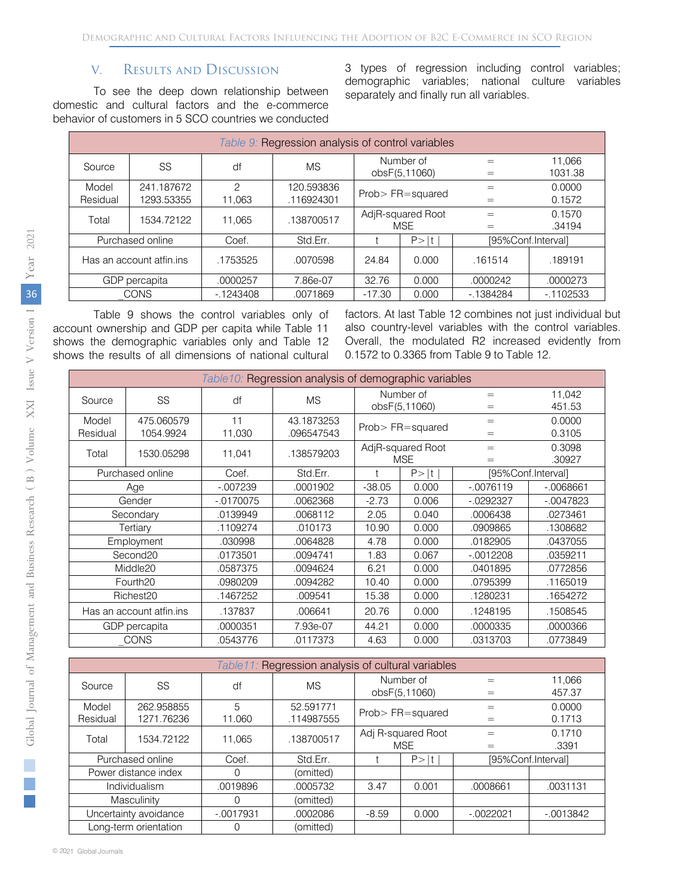## V. Results and Discussion

To see the deep down relationship between domestic and cultural factors and the e-commerce behavior of customers in 5 SCO countries we conducted 3 types of regression including control variables; demographic variables; national culture variables separately and finally run all variables.

| Table 9: Regression analysis of control variables |                          |                         |                          |                            |                                 |            |                    |  |  |  |  |            |                   |
|---------------------------------------------------|--------------------------|-------------------------|--------------------------|----------------------------|---------------------------------|------------|--------------------|--|--|--|--|------------|-------------------|
| Source                                            | SS                       | df                      | <b>MS</b>                | Number of<br>obsF(5,11060) |                                 |            |                    |  |  |  |  | $=$<br>$=$ | 11,066<br>1031.38 |
| Model<br>Residual                                 | 241.187672<br>1293.53355 | $\mathcal{P}$<br>11.063 | 120.593836<br>.116924301 |                            | Prob>FR=squared                 | $=$        | 0.0000<br>0.1572   |  |  |  |  |            |                   |
| Total                                             | 1534.72122               | 11.065                  | .138700517               |                            | AdjR-squared Root<br><b>MSE</b> | $=$        | 0.1570<br>.34194   |  |  |  |  |            |                   |
|                                                   | Purchased online         | Coef.                   | Std.Err.                 | $P>$ It                    |                                 |            | [95%Conf.Interval] |  |  |  |  |            |                   |
| Has an account atfin.ins                          |                          | .1753525                | .0070598                 | 24.84                      | 0.000                           | .161514    | .189191            |  |  |  |  |            |                   |
| GDP percapita                                     |                          | .0000257                | 7.86e-07                 | 32.76                      | 0.000                           | .0000242   | .0000273           |  |  |  |  |            |                   |
|                                                   | <b>CONS</b>              | $-1243408$              | .0071869                 | $-17.30$                   | 0.000                           | $-1384284$ | $-1102533$         |  |  |  |  |            |                   |

Table 9 shows the control variables only of account ownership and GDP per capita while Table 11 shows the demographic variables only and Table 12 shows the results of all dimensions of national cultural factors. At last Table 12 combines not just individual but also country-level variables with the control variables. Overall, the modulated R2 increased evidently from 0.1572 to 0.3365 from Table 9 to Table 12.

| Table 10: Regression analysis of demographic variables |                          |             |            |                   |                 |             |                    |  |  |  |  |
|--------------------------------------------------------|--------------------------|-------------|------------|-------------------|-----------------|-------------|--------------------|--|--|--|--|
| Source                                                 | <b>SS</b>                | df          | <b>MS</b>  |                   | Number of       | $=$         | 11,042             |  |  |  |  |
|                                                        |                          |             |            |                   | obsF(5,11060)   | $=$         | 451.53             |  |  |  |  |
| Model                                                  | 475.060579               | 11          | 43.1873253 |                   | Prob>FR=squared | $=$         | 0.0000             |  |  |  |  |
| Residual                                               | 1054.9924                | 11,030      | 096547543  |                   |                 | $=$         | 0.3105             |  |  |  |  |
| Total                                                  | 1530.05298               | 11,041      | .138579203 | AdjR-squared Root |                 | $=$         | 0.3098             |  |  |  |  |
|                                                        |                          |             |            |                   | <b>MSE</b>      | $=$         | .30927             |  |  |  |  |
|                                                        | Purchased online         | Coef.       | Std.Err.   |                   | P >  t          |             | [95%Conf.Interval] |  |  |  |  |
|                                                        | Age                      | $-007239$   | .0001902   | $-38.05$<br>0.000 |                 | $-.0076119$ | $-0.0068661$       |  |  |  |  |
| Gender                                                 |                          | $-.0170075$ | .0062368   | $-2.73$           | 0.006           | $-0292327$  | $-0.0047823$       |  |  |  |  |
| Secondary                                              |                          | .0139949    | .0068112   | 2.05              | 0.040           | .0006438    | .0273461           |  |  |  |  |
|                                                        | Tertiary                 | .1109274    | .010173    | 10.90<br>0.000    |                 | .0909865    | .1308682           |  |  |  |  |
|                                                        | Employment               | .030998     | .0064828   | 4.78              | 0.000           | .0182905    | .0437055           |  |  |  |  |
|                                                        | Second <sub>20</sub>     | .0173501    | .0094741   | 1.83              | 0.067           | $-0012208$  | .0359211           |  |  |  |  |
|                                                        | Middle <sub>20</sub>     | .0587375    | .0094624   | 6.21              | 0.000           | .0401895    | .0772856           |  |  |  |  |
|                                                        | Fourth <sub>20</sub>     | .0980209    | .0094282   | 10.40             | 0.000           | .0795399    | .1165019           |  |  |  |  |
|                                                        | Richest <sub>20</sub>    | .1467252    | .009541    | 15.38             | 0.000           | .1280231    | .1654272           |  |  |  |  |
|                                                        | Has an account atfin.ins | .137837     | .006641    | 20.76             | 0.000           | .1248195    | .1508545           |  |  |  |  |
|                                                        | GDP percapita            | .0000351    | 7.93e-07   | 44.21             | 0.000           | .0000335    | .0000366           |  |  |  |  |
|                                                        | <b>CONS</b>              | .0543776    | .0117373   | 4.63              | 0.000           | .0313703    | .0773849           |  |  |  |  |

| Table 11: Regression analysis of cultural variables |                          |             |                         |                                  |            |                    |                  |
|-----------------------------------------------------|--------------------------|-------------|-------------------------|----------------------------------|------------|--------------------|------------------|
| Source                                              | SS                       | df          | <b>MS</b>               | Number of<br>obsF(5,11060)       |            | $=$<br>$=$         | 11,066<br>457.37 |
| Model<br>Residual                                   | 262.958855<br>1271.76236 | 5<br>11.060 | 52.591771<br>.114987555 | Prob>FR=squared                  |            | $=$<br>$=$         | 0.0000<br>0.1713 |
| Total                                               | 1534.72122               | 11.065      | .138700517              | Adj R-squared Root<br><b>MSE</b> |            | $=$<br>$=$         | 0.1710<br>.3391  |
| Purchased online                                    |                          | Coef.       | Std.Err.                |                                  | P ><br>lt. | [95%Conf.Interval] |                  |
| Power distance index                                |                          | 0           | (omitted)               |                                  |            |                    |                  |
| Individualism                                       |                          | .0019896    | .0005732                | 3.47                             | 0.001      | .0008661           | .0031131         |
| Masculinity                                         |                          | $\Omega$    | (omitted)               |                                  |            |                    |                  |
| Uncertainty avoidance                               |                          | $-0017931$  | .0002086                | $-8.59$                          | 0.000      | -.0022021          | $-0013842$       |
| Long-term orientation                               |                          | 0           | (omitted)               |                                  |            |                    |                  |

*Year* 2021

 $\mathbb{R}^2$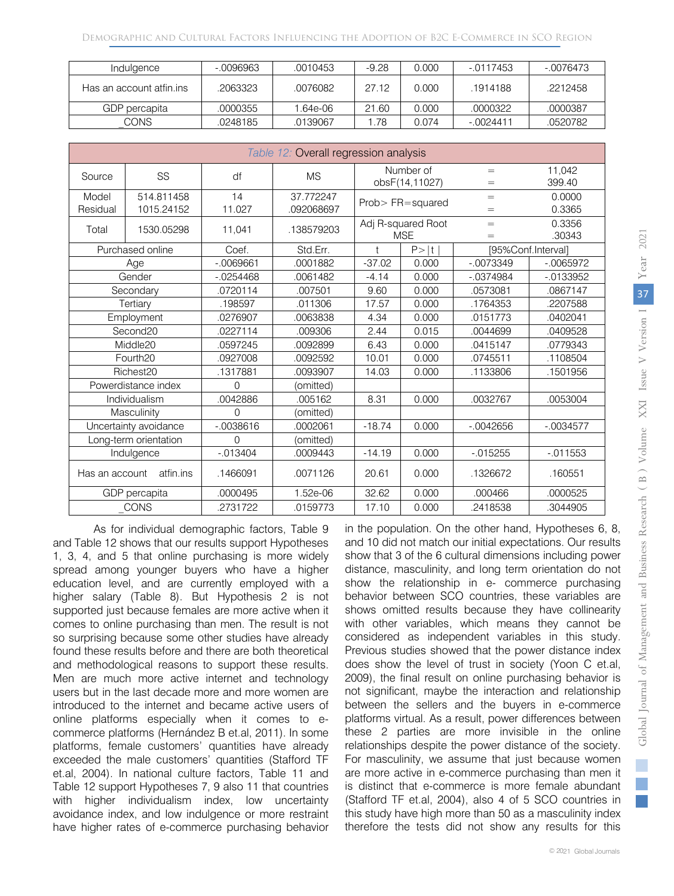| Indulgence               | $-0096963$ | .0010453 | $-9.28$ | 0.000 | $-0117453$ | $-0076473$ |
|--------------------------|------------|----------|---------|-------|------------|------------|
| Has an account atfin.ins | .2063323   | .0076082 | 27.12   | 0.000 | 1914188    | .2212458   |
| GDP percapita            | .0000355   | 1.64e-06 | 21.60   | 0.000 | .0000322   | .0000387   |
| CONS.                    | .0248185   | .0139067 | .78     | 0.074 | $-0024411$ | .0520782   |

| Table 12: Overall regression analysis |            |              |            |                                               |            |              |              |
|---------------------------------------|------------|--------------|------------|-----------------------------------------------|------------|--------------|--------------|
| Source                                | SS         | df           | <b>MS</b>  | Number of                                     |            | $=$          | 11,042       |
|                                       |            |              |            | obsF(14,11027)                                |            | $=$          | 399.40       |
| Model                                 | 514.811458 | 14           | 37.772247  | Prob>FR=squared                               |            | $=$          | 0.0000       |
| Residual                              | 1015.24152 | 11.027       | .092068697 |                                               |            | $=$          | 0.3365       |
| Total                                 | 1530.05298 | 11,041       | .138579203 | Adj R-squared Root                            |            | $=$          | 0.3356       |
|                                       |            |              |            |                                               | <b>MSE</b> | $=$          | .30343       |
| Purchased online                      |            | Coef.        | Std.Err.   | $\mathsf{t}$<br>$P>$  t<br>[95%Conf.Interval] |            |              |              |
|                                       | Age        | $-0.0069661$ | .0001882   | $-37.02$                                      | 0.000      | $-0073349$   | $-0.0065972$ |
|                                       | Gender     | $-0.0254468$ | .0061482   | $-4.14$                                       | 0.000      | $-0.0374984$ | $-0.0133952$ |
|                                       | Secondary  | 0720114      | .007501    | 9.60                                          | 0.000      | .0573081     | .0867147     |
| Tertiary                              |            | .198597      | .011306    | 17.57                                         | 0.000      | .1764353     | .2207588     |
| Employment                            |            | 0276907      | .0063838   | 4.34                                          | 0.000      | .0151773     | .0402041     |
| Second <sub>20</sub>                  |            | 0227114      | .009306    | 2.44                                          | 0.015      | .0044699     | .0409528     |
| Middle20                              |            | .0597245     | .0092899   | 6.43                                          | 0.000      | .0415147     | .0779343     |
| Fourth <sub>20</sub>                  |            | 0927008      | .0092592   | 10.01                                         | 0.000      | .0745511     | .1108504     |
| Richest <sub>20</sub>                 |            | .1317881     | .0093907   | 14.03                                         | 0.000      | .1133806     | .1501956     |
| Powerdistance index                   |            | 0            | (omitted)  |                                               |            |              |              |
| Individualism                         |            | 0042886      | .005162    | 8.31                                          | 0.000      | .0032767     | .0053004     |
| Masculinity                           |            | $\Omega$     | (omitted)  |                                               |            |              |              |
| Uncertainty avoidance                 |            | $-0.0038616$ | 0002061    | $-18.74$                                      | 0.000      | $-0.0042656$ | $-0.0034577$ |
| Long-term orientation                 |            | $\Omega$     | (omitted)  |                                               |            |              |              |
| Indulgence                            |            | $-0.013404$  | .0009443   | $-14.19$                                      | 0.000      | $-0.015255$  | $-0.011553$  |
| Has an account                        | atfin.ins  | .1466091     | .0071126   | 20.61                                         | 0.000      | .1326672     | .160551      |
| GDP percapita                         |            | .0000495     | 1.52e-06   | 32.62                                         | 0.000      | .000466      | .0000525     |
| CONS                                  |            | .2731722     | .0159773   | 17.10                                         | 0.000      | .2418538     | .3044905     |

As for individual demographic factors, Table 9 and Table 12 shows that our results support Hypotheses 1, 3, 4, and 5 that online purchasing is more widely spread among younger buyers who have a higher education level, and are currently employed with a higher salary (Table 8). But Hypothesis 2 is not supported just because females are more active when it comes to online purchasing than men. The result is not so surprising because some other studies have already found these results before and there are both theoretical and methodological reasons to support these results. Men are much more active internet and technology users but in the last decade more and more women are introduced to the internet and became active users of online platforms especially when it comes to ecommerce platforms (Hernández B et.al, 2011). In some platforms, female customers' quantities have already exceeded the male customers' quantities (Stafford TF et.al, 2004). In national culture factors, Table 11 and Table 12 support Hypotheses 7, 9 also 11 that countries with higher individualism index, low uncertainty avoidance index, and low indulgence or more restraint have higher rates of e-commerce purchasing behavior

in the population. On the other hand, Hypotheses 6, 8, and 10 did not match our initial expectations. Our results show that 3 of the 6 cultural dimensions including power distance, masculinity, and long term orientation do not show the relationship in e- commerce purchasing behavior between SCO countries, these variables are shows omitted results because they have collinearity with other variables, which means they cannot be considered as independent variables in this study. Previous studies showed that the power distance index does show the level of trust in society (Yoon C et.al, 2009), the final result on online purchasing behavior is not significant, maybe the interaction and relationship between the sellers and the buyers in e-commerce platforms virtual. As a result, power differences between these 2 parties are more invisible in the online relationships despite the power distance of the society. For masculinity, we assume that just because women are more active in e-commerce purchasing than men it is distinct that e-commerce is more female abundant (Stafford TF et.al, 2004), also 4 of 5 SCO countries in this study have high more than 50 as a masculinity index therefore the tests did not show any results for this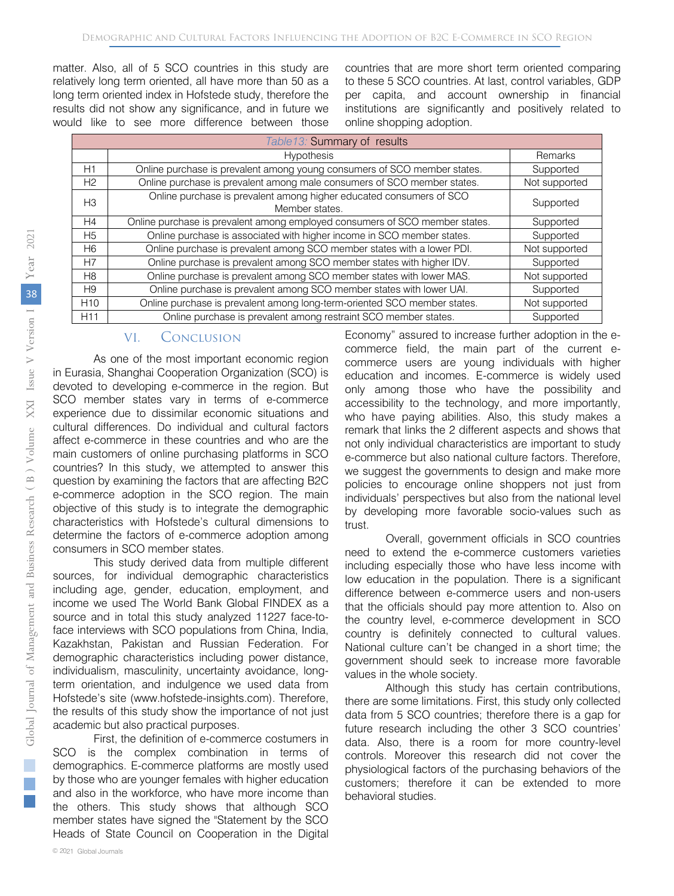matter. Also, all of 5 SCO countries in this study are relatively long term oriented, all have more than 50 as a long term oriented index in Hofstede study, therefore the results did not show any significance, and in future we would like to see more difference between those

countries that are more short term oriented comparing to these 5 SCO countries. At last, control variables, GDP per capita, and account ownership in financial institutions are significantly and positively related to online shopping adoption.

| Table13: Summary of results |                                                                                       |               |  |  |  |
|-----------------------------|---------------------------------------------------------------------------------------|---------------|--|--|--|
|                             | <b>Hypothesis</b>                                                                     | Remarks       |  |  |  |
| H1                          | Online purchase is prevalent among young consumers of SCO member states.              | Supported     |  |  |  |
| H2                          | Online purchase is prevalent among male consumers of SCO member states.               | Not supported |  |  |  |
| H <sub>3</sub>              | Online purchase is prevalent among higher educated consumers of SCO<br>Member states. | Supported     |  |  |  |
| H4                          | Online purchase is prevalent among employed consumers of SCO member states.           | Supported     |  |  |  |
| H <sub>5</sub>              | Online purchase is associated with higher income in SCO member states.                | Supported     |  |  |  |
| H <sub>6</sub>              | Online purchase is prevalent among SCO member states with a lower PDI.                | Not supported |  |  |  |
| H7                          | Online purchase is prevalent among SCO member states with higher IDV.                 | Supported     |  |  |  |
| H8                          | Online purchase is prevalent among SCO member states with lower MAS.                  | Not supported |  |  |  |
| H9                          | Online purchase is prevalent among SCO member states with lower UAI.                  | Supported     |  |  |  |
| H <sub>10</sub>             | Online purchase is prevalent among long-term-oriented SCO member states.              | Not supported |  |  |  |
| H <sub>11</sub>             | Online purchase is prevalent among restraint SCO member states.                       | Supported     |  |  |  |

#### VI. Conclusion

As one of the most important economic region in Eurasia, Shanghai Cooperation Organization (SCO) is devoted to developing e-commerce in the region. But SCO member states vary in terms of e-commerce experience due to dissimilar economic situations and cultural differences. Do individual and cultural factors affect e-commerce in these countries and who are the main customers of online purchasing platforms in SCO countries? In this study, we attempted to answer this question by examining the factors that are affecting B2C e-commerce adoption in the SCO region. The main objective of this study is to integrate the demographic characteristics with Hofstede's cultural dimensions to determine the factors of e-commerce adoption among consumers in SCO member states.

This study derived data from multiple different sources, for individual demographic characteristics including age, gender, education, employment, and income we used The World Bank Global FINDEX as a source and in total this study analyzed 11227 face-toface interviews with SCO populations from China, India, Kazakhstan, Pakistan and Russian Federation. For demographic characteristics including power distance, individualism, masculinity, uncertainty avoidance, longterm orientation, and indulgence we used data from Hofstede's site (www.hofstede-insights.com). Therefore, the results of this study show the importance of not just academic but also practical purposes.

First, the definition of e-commerce costumers in SCO is the complex combination in terms of demographics. E-commerce platforms are mostly used by those who are younger females with higher education and also in the workforce, who have more income than the others. This study shows that although SCO member states have signed the "Statement by the SCO Heads of State Council on Cooperation in the Digital

Economy" assured to increase further adoption in the ecommerce field, the main part of the current ecommerce users are young individuals with higher education and incomes. E-commerce is widely used only among those who have the possibility and accessibility to the technology, and more importantly, who have paying abilities. Also, this study makes a remark that links the 2 different aspects and shows that not only individual characteristics are important to study e-commerce but also national culture factors. Therefore, we suggest the governments to design and make more policies to encourage online shoppers not just from individuals' perspectives but also from the national level by developing more favorable socio-values such as trust.

Overall, government officials in SCO countries need to extend the e-commerce customers varieties including especially those who have less income with low education in the population. There is a significant difference between e-commerce users and non-users that the officials should pay more attention to. Also on the country level, e-commerce development in SCO country is definitely connected to cultural values. National culture can't be changed in a short time; the government should seek to increase more favorable values in the whole society.

Although this study has certain contributions, there are some limitations. First, this study only collected data from 5 SCO countries; therefore there is a gap for future research including the other 3 SCO countries' data. Also, there is a room for more country-level controls. Moreover this research did not cover the physiological factors of the purchasing behaviors of the customers; therefore it can be extended to more behavioral studies.

 $\mathbb{R}^n$ **College**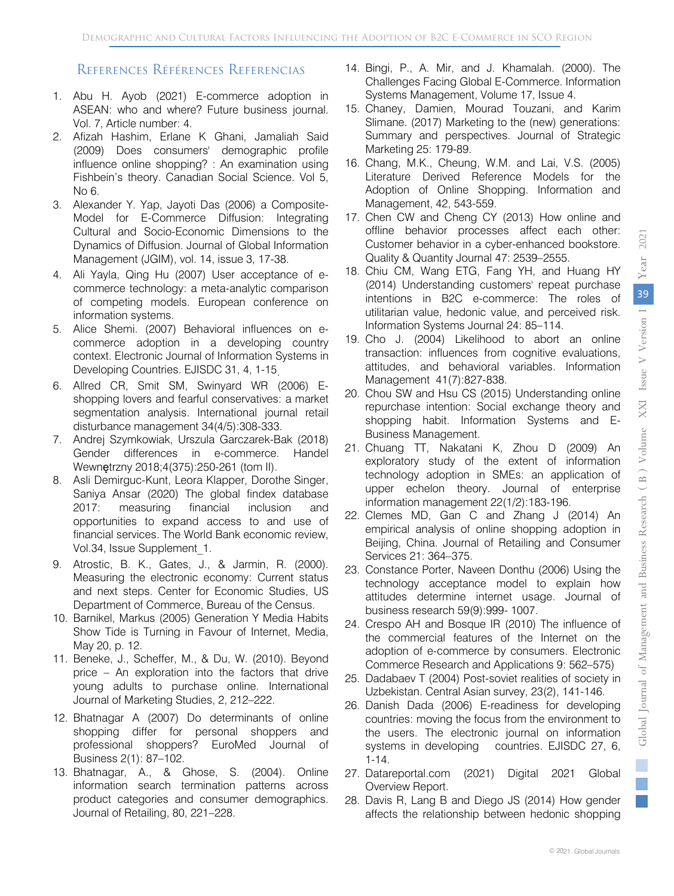# References Références Referencias

- 1. Abu H. Ayob (2021) E-commerce adoption in ASEAN: who and where? Future business journal. Vol. 7, Article number: 4.
- 2. Afizah Hashim, Erlane K Ghani, Jamaliah Said (2009) Does consumers' demographic profile influence online shopping? : An examination using Fishbein's theory. Canadian Social Science. Vol 5, No 6.
- 3. Alexander Y. Yap, Jayoti Das (2006) a Composite-Model for E-Commerce Diffusion: Integrating Cultural and Socio-Economic Dimensions to the Dynamics of Diffusion. Journal of Global Information Management (JGIM), vol. 14, issue 3, 17-38.
- 4. Ali Yayla, Qing Hu (2007) User acceptance of ecommerce technology: a meta-analytic comparison of competing models. European conference on information systems.
- 5. Alice Shemi. (2007) Behavioral influences on ecommerce adoption in a developing country context. Electronic Journal of Information Systems in Developing Countries. EJISDC 31, 4, 1-15.
- 6. Allred CR, Smit SM, Swinyard WR (2006) Eshopping lovers and fearful conservatives: a market segmentation analysis. International journal retail disturbance management 34(4/5):308-333.
- 7. Andrej Szymkowiak, Urszula Garczarek-Bak (2018) Gender differences in e-commerce. Handel Wewnętrzny 2018;4(375):250-261 (tom II).
- 8. Asli Demirguc-Kunt, Leora Klapper, Dorothe Singer, Saniya Ansar (2020) The global findex database 2017: measuring financial inclusion and opportunities to expand access to and use of financial services. The World Bank economic review, Vol.34, Issue Supplement\_1.
- 9. Atrostic, B. K., Gates, J., & Jarmin, R. (2000). Measuring the electronic economy: Current status and next steps. Center for Economic Studies, US Department of Commerce, Bureau of the Census.
- 10. Barnikel, Markus (2005) Generation Y Media Habits Show Tide is Turning in Favour of Internet, Media, May 20, p. 12.
- 11. Beneke, J., Scheffer, M., & Du, W. (2010). Beyond price – An exploration into the factors that drive young adults to purchase online. International Journal of Marketing Studies, 2, 212–222.
- 12. Bhatnagar A (2007) Do determinants of online shopping differ for personal shoppers and professional shoppers? EuroMed Journal of Business 2(1): 87–102.
- 13. Bhatnagar, A., & Ghose, S. (2004). Online information search termination patterns across product categories and consumer demographics. Journal of Retailing, 80, 221–228.
- 14. Bingi, P., A. Mir, and J. Khamalah. (2000). The Challenges Facing Global E-Commerce. Information Systems Management, Volume 17, Issue 4.
- 15. Chaney, Damien, Mourad Touzani, and Karim Slimane. (2017) Marketing to the (new) generations: Summary and perspectives. Journal of Strategic Marketing 25: 179-89.
- 16. Chang, M.K., Cheung, W.M. and Lai, V.S. (2005) Literature Derived Reference Models for the Adoption of Online Shopping. Information and Management, 42, 543-559.
- 17. Chen CW and Cheng CY (2013) How online and offline behavior processes affect each other: Customer behavior in a cyber-enhanced bookstore. Quality & Quantity Journal 47: 2539–2555.
- 18. Chiu CM, Wang ETG, Fang YH, and Huang HY (2014) Understanding customers' repeat purchase intentions in B2C e-commerce: The roles of utilitarian value, hedonic value, and perceived risk. Information Systems Journal 24: 85–114.
- 19. Cho J. (2004) Likelihood to abort an online transaction: influences from cognitive evaluations, attitudes, and behavioral variables. Information Management 41(7):827-838.
- 20. Chou SW and Hsu CS (2015) Understanding online repurchase intention: Social exchange theory and shopping habit. Information Systems and E-Business Management.
- 21. Chuang TT, Nakatani K, Zhou D (2009) An exploratory study of the extent of information technology adoption in SMEs: an application of upper echelon theory. Journal of enterprise information management 22(1/2):183-196.
- 22. Clemes MD, Gan C and Zhang J (2014) An empirical analysis of online shopping adoption in Beijing, China. Journal of Retailing and Consumer Services 21: 364–375.
- 23. Constance Porter, Naveen Donthu (2006) Using the technology acceptance model to explain how attitudes determine internet usage. Journal of business research 59(9):999- 1007.
- 24. Crespo AH and Bosque IR (2010) The influence of the commercial features of the Internet on the adoption of e-commerce by consumers. Electronic Commerce Research and Applications 9: 562–575)
- 25. Dadabaev T (2004) Post-soviet realities of society in Uzbekistan. Central Asian survey, 23(2), 141-146.
- 26. Danish Dada (2006) E-readiness for developing countries: moving the focus from the environment to the users. The electronic journal on information systems in developing countries. EJISDC 27, 6, 1-14.
- 27. Datareportal.com (2021) Digital 2021 Global Overview Report.
- 28. Davis R, Lang B and Diego JS (2014) How gender affects the relationship between hedonic shopping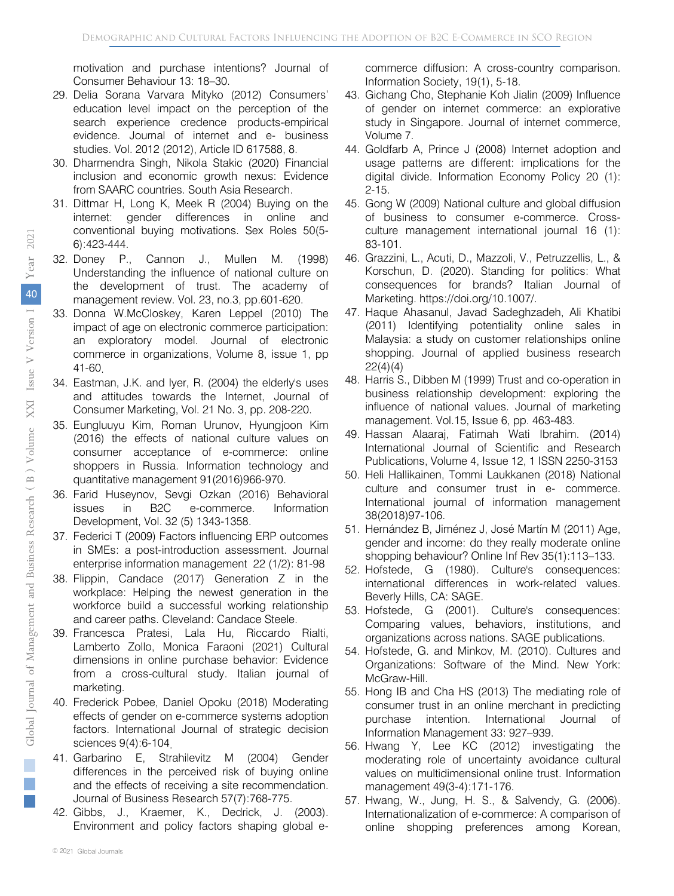motivation and purchase intentions? Journal of Consumer Behaviour 13: 18–30.

- 29. Delia Sorana Varvara Mityko (2012) Consumers' education level impact on the perception of the search experience credence products-empirical evidence. Journal of internet and e- business studies. Vol. 2012 (2012), Article ID 617588, 8.
- 30. Dharmendra Singh, Nikola Stakic (2020) Financial inclusion and economic growth nexus: Evidence from SAARC countries. South Asia Research.
- 31. Dittmar H, Long K, Meek R (2004) Buying on the internet: gender differences in online and conventional buying motivations. Sex Roles 50(5- 6):423-444.
- 32. Doney P., Cannon J., Mullen M. (1998) Understanding the influence of national culture on the development of trust. The academy of management review. Vol. 23, no.3, pp.601-620.
- 33. Donna W.McCloskey, Karen Leppel (2010) The impact of age on electronic commerce participation: an exploratory model. Journal of electronic commerce in organizations, Volume 8, issue 1, pp 41-60.
- 34. Eastman, J.K. and Iyer, R. (2004) the elderly's uses and attitudes towards the Internet, Journal of Consumer Marketing, Vol. 21 No. 3, pp. 208-220.
- 35. Eungluuyu Kim, Roman Urunov, Hyungjoon Kim (2016) the effects of national culture values on consumer acceptance of e-commerce: online shoppers in Russia. Information technology and quantitative management 91(2016)966-970.
- 36. Farid Huseynov, Sevgi Ozkan (2016) Behavioral issues in B2C e-commerce. Information Development, Vol. 32 (5) 1343-1358.
- 37. Federici T (2009) Factors influencing ERP outcomes in SMEs: a post-introduction assessment. Journal enterprise information management 22 (1/2): 81-98
- 38. Flippin, Candace (2017) Generation Z in the workplace: Helping the newest generation in the workforce build a successful working relationship and career paths. Cleveland: Candace Steele.
- 39. Francesca Pratesi, Lala Hu, Riccardo Rialti, Lamberto Zollo, Monica Faraoni (2021) Cultural dimensions in online purchase behavior: Evidence from a cross-cultural study. Italian journal of marketing.
- 40. Frederick Pobee, Daniel Opoku (2018) Moderating effects of gender on e-commerce systems adoption factors. International Journal of strategic decision sciences 9(4):6-104.
- 41. Garbarino E, Strahilevitz M (2004) Gender differences in the perceived risk of buying online and the effects of receiving a site recommendation. Journal of Business Research 57(7):768-775.
- 42. Gibbs, J., Kraemer, K., Dedrick, J. (2003). Environment and policy factors shaping global e-

commerce diffusion: A cross-country comparison. Information Society, 19(1), 5-18.

- 43. Gichang Cho, Stephanie Koh Jialin (2009) Influence of gender on internet commerce: an explorative study in Singapore. Journal of internet commerce, Volume 7.
- 44. Goldfarb A, Prince J (2008) Internet adoption and usage patterns are different: implications for the digital divide. Information Economy Policy 20 (1): 2-15.
- 45. Gong W (2009) National culture and global diffusion of business to consumer e-commerce. Crossculture management international journal 16 (1): 83-101.
- 46. Grazzini, L., Acuti, D., Mazzoli, V., Petruzzellis, L., & Korschun, D. (2020). Standing for politics: What consequences for brands? Italian Journal of Marketing. https://doi.org/10.1007/.
- 47. Haque Ahasanul, Javad Sadeghzadeh, Ali Khatibi (2011) Identifying potentiality online sales in Malaysia: a study on customer relationships online shopping. Journal of applied business research 22(4)(4)
- 48. Harris S., Dibben M (1999) Trust and co-operation in business relationship development: exploring the influence of national values. Journal of marketing management. Vol.15, Issue 6, pp. 463-483.
- 49. Hassan Alaaraj, Fatimah Wati Ibrahim. (2014) International Journal of Scientific and Research Publications, Volume 4, Issue 12, 1 ISSN 2250-3153
- 50. Heli Hallikainen, Tommi Laukkanen (2018) National culture and consumer trust in e- commerce. International journal of information management 38(2018)97-106.
- 51. Hernández B, Jiménez J, José Martín M (2011) Age, gender and income: do they really moderate online shopping behaviour? Online Inf Rev 35(1):113–133.
- 52. Hofstede, G (1980). Culture's consequences: international differences in work-related values. Beverly Hills, CA: SAGE.
- 53. Hofstede, G (2001). Culture's consequences: Comparing values, behaviors, institutions, and organizations across nations. SAGE publications.
- 54. Hofstede, G. and Minkov, M. (2010). Cultures and Organizations: Software of the Mind. New York: McGraw-Hill.
- 55. Hong IB and Cha HS (2013) The mediating role of consumer trust in an online merchant in predicting purchase intention. International Journal of Information Management 33: 927–939.
- 56. Hwang Y, Lee KC (2012) investigating the moderating role of uncertainty avoidance cultural values on multidimensional online trust. Information management 49(3-4):171-176.
- 57. Hwang, W., Jung, H. S., & Salvendy, G. (2006). Internationalization of e-commerce: A comparison of online shopping preferences among Korean,

 $\mathbb{R}^n$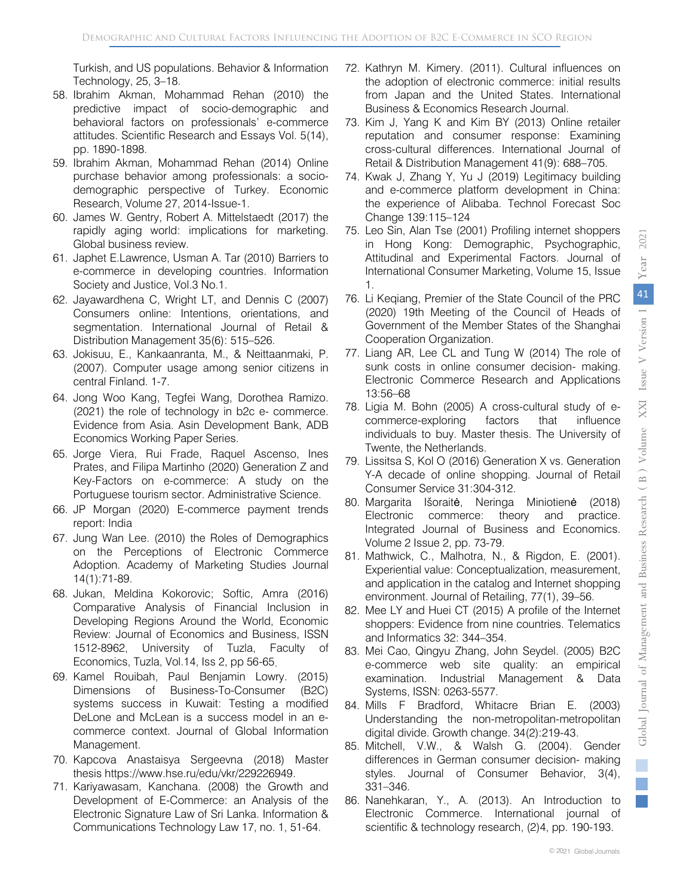Turkish, and US populations. Behavior & Information Technology, 25, 3–18.

- 58. Ibrahim Akman, Mohammad Rehan (2010) the predictive impact of socio-demographic and behavioral factors on professionals' e-commerce attitudes. Scientific Research and Essays Vol. 5(14), pp. 1890-1898.
- 59. Ibrahim Akman, Mohammad Rehan (2014) Online purchase behavior among professionals: a sociodemographic perspective of Turkey. Economic Research, Volume 27, 2014-Issue-1.
- 60. James W. Gentry, Robert A. Mittelstaedt (2017) the rapidly aging world: implications for marketing. Global business review.
- 61. Japhet E.Lawrence, Usman A. Tar (2010) Barriers to e-commerce in developing countries. Information Society and Justice, Vol.3 No.1.
- 62. Jayawardhena C, Wright LT, and Dennis C (2007) Consumers online: Intentions, orientations, and segmentation. International Journal of Retail & Distribution Management 35(6): 515–526.
- 63. Jokisuu, E., Kankaanranta, M., & Neittaanmaki, P. (2007). Computer usage among senior citizens in central Finland. 1-7.
- 64. Jong Woo Kang, Tegfei Wang, Dorothea Ramizo. (2021) the role of technology in b2c e- commerce. Evidence from Asia. Asin Development Bank, ADB Economics Working Paper Series.
- 65. Jorge Viera, Rui Frade, Raquel Ascenso, Ines Prates, and Filipa Martinho (2020) Generation Z and Key-Factors on e-commerce: A study on the Portuguese tourism sector. Administrative Science.
- 66. JP Morgan (2020) E-commerce payment trends report: India
- 67. Jung Wan Lee. (2010) the Roles of Demographics on the Perceptions of Electronic Commerce Adoption. Academy of Marketing Studies Journal 14(1):71-89.
- 68. Jukan, Meldina Kokorovic; Softic, Amra (2016) Comparative Analysis of Financial Inclusion in Developing Regions Around the World, Economic Review: Journal of Economics and Business, ISSN 1512-8962, University of Tuzla, Faculty of Economics, Tuzla, Vol.14, Iss 2, pp 56-65.
- 69. Kamel Rouibah, Paul Benjamin Lowry. (2015) Dimensions of Business-To-Consumer (B2C) systems success in Kuwait: Testing a modified DeLone and McLean is a success model in an ecommerce context. Journal of Global Information Management.
- 70. Kapcova Anastaisya Sergeevna (2018) Master thesis https://www.hse.ru/edu/vkr/229226949.
- 71. Kariyawasam, Kanchana. (2008) the Growth and Development of E-Commerce: an Analysis of the Electronic Signature Law of Sri Lanka. Information & Communications Technology Law 17, no. 1, 51-64.
- 72. Kathryn M. Kimery. (2011). Cultural influences on the adoption of electronic commerce: initial results from Japan and the United States. International Business & Economics Research Journal.
- 73. Kim J, Yang K and Kim BY (2013) Online retailer reputation and consumer response: Examining cross-cultural differences. International Journal of Retail & Distribution Management 41(9): 688–705.
- 74. Kwak J, Zhang Y, Yu J (2019) Legitimacy building and e-commerce platform development in China: the experience of Alibaba. Technol Forecast Soc Change 139:115–124
- 75. Leo Sin, Alan Tse (2001) Profiling internet shoppers in Hong Kong: Demographic, Psychographic, Attitudinal and Experimental Factors. Journal of International Consumer Marketing, Volume 15, Issue 1.
- 76. Li Keqiang, Premier of the State Council of the PRC (2020) 19th Meeting of the Council of Heads of Government of the Member States of the Shanghai Cooperation Organization.
- 77. Liang AR, Lee CL and Tung W (2014) The role of sunk costs in online consumer decision- making. Electronic Commerce Research and Applications 13:56–68
- 78. Ligia M. Bohn (2005) A cross-cultural study of ecommerce-exploring factors that influence individuals to buy. Master thesis. The University of Twente, the Netherlands.
- 79. Lissitsa S, Kol O (2016) Generation X vs. Generation Y-A decade of online shopping. Journal of Retail Consumer Service 31:304-312.
- 80. Margarita Išoraitė, Neringa Miniotienė (2018) Electronic commerce: theory and practice. Integrated Journal of Business and Economics. Volume 2 Issue 2, pp. 73-79.
- 81. Mathwick, C., Malhotra, N., & Rigdon, E. (2001). Experiential value: Conceptualization, measurement, and application in the catalog and Internet shopping environment. Journal of Retailing, 77(1), 39–56.
- 82. Mee LY and Huei CT (2015) A profile of the Internet shoppers: Evidence from nine countries. Telematics and Informatics 32: 344–354.
- 83. Mei Cao, Qingyu Zhang, John Seydel. (2005) B2C e-commerce web site quality: an empirical examination. Industrial Management & Data Systems, ISSN: 0263-5577.
- 84. Mills F Bradford, Whitacre Brian E. (2003) Understanding the non-metropolitan-metropolitan digital divide. Growth change. 34(2):219-43.
- 85. Mitchell, V.W., & Walsh G. (2004). Gender differences in German consumer decision- making styles. Journal of Consumer Behavior, 3(4), 331–346.
- 86. Nanehkaran, Y., A. (2013). An Introduction to Electronic Commerce. International journal of scientific & technology research, (2)4, pp. 190-193.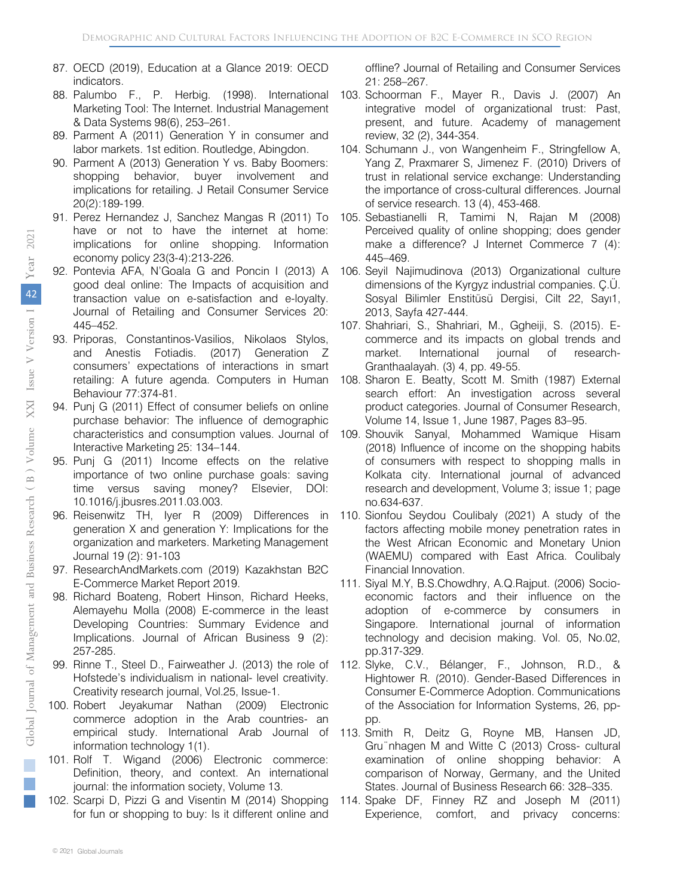- 87. OECD (2019), Education at a Glance 2019: OECD indicators.
- 88. Palumbo F., P. Herbig. (1998). International Marketing Tool: The Internet. Industrial Management & Data Systems 98(6), 253–261.
- 89. Parment A (2011) Generation Y in consumer and labor markets. 1st edition. Routledge, Abingdon.
- 90. Parment A (2013) Generation Y vs. Baby Boomers: shopping behavior, buyer involvement and implications for retailing. J Retail Consumer Service 20(2):189-199.
- 91. Perez Hernandez J, Sanchez Mangas R (2011) To have or not to have the internet at home: implications for online shopping. Information economy policy 23(3-4):213-226.
- 92. Pontevia AFA, N'Goala G and Poncin I (2013) A good deal online: The Impacts of acquisition and transaction value on e-satisfaction and e-loyalty. Journal of Retailing and Consumer Services 20: 445–452.
- 93. Priporas, Constantinos-Vasilios, Nikolaos Stylos, and Anestis Fotiadis. (2017) Generation Z consumers' expectations of interactions in smart retailing: A future agenda. Computers in Human Behaviour 77:374-81.
- 94. Punj G (2011) Effect of consumer beliefs on online purchase behavior: The influence of demographic characteristics and consumption values. Journal of Interactive Marketing 25: 134–144.
- 95. Punj G (2011) Income effects on the relative importance of two online purchase goals: saving time versus saving money? Elsevier, DOI: 10.1016/j.jbusres.2011.03.003.
- 96. Reisenwitz TH, Iyer R (2009) Differences in generation X and generation Y: Implications for the organization and marketers. Marketing Management Journal 19 (2): 91-103
- 97. ResearchAndMarkets.com (2019) Kazakhstan B2C E-Commerce Market Report 2019.
- 98. Richard Boateng, Robert Hinson, Richard Heeks, Alemayehu Molla (2008) E-commerce in the least Developing Countries: Summary Evidence and Implications. Journal of African Business 9 (2): 257-285.
- 99. Rinne T., Steel D., Fairweather J. (2013) the role of Hofstede's individualism in national- level creativity. Creativity research journal, Vol.25, Issue-1.
- 100. Robert Jeyakumar Nathan (2009) Electronic commerce adoption in the Arab countries- an empirical study. International Arab Journal of information technology 1(1).
- 101. Rolf T. Wigand (2006) Electronic commerce: Definition, theory, and context. An international journal: the information society, Volume 13.
- 102. Scarpi D, Pizzi G and Visentin M (2014) Shopping for fun or shopping to buy: Is it different online and

offline? Journal of Retailing and Consumer Services 21: 258–267.

- 103. Schoorman F., Mayer R., Davis J. (2007) An integrative model of organizational trust: Past, present, and future. Academy of management review, 32 (2), 344-354.
- 104. Schumann J., von Wangenheim F., Stringfellow A, Yang Z, Praxmarer S, Jimenez F. (2010) Drivers of trust in relational service exchange: Understanding the importance of cross-cultural differences. Journal of service research. 13 (4), 453-468.
- 105. Sebastianelli R, Tamimi N, Rajan M (2008) Perceived quality of online shopping; does gender make a difference? J Internet Commerce 7 (4): 445–469.
- 106. Seyil Najimudinova (2013) Organizational culture dimensions of the Kyrgyz industrial companies. Ç.Ü. Sosyal Bilimler Enstitüsü Dergisi, Cilt 22, Sayı1, 2013, Sayfa 427-444.
- 107. Shahriari, S., Shahriari, M., Ggheiji, S. (2015). Ecommerce and its impacts on global trends and market. International journal of research-Granthaalayah. (3) 4, pp. 49-55.
- 108. Sharon E. Beatty, Scott M. Smith (1987) External search effort: An investigation across several product categories. Journal of Consumer Research, Volume 14, Issue 1, June 1987, Pages 83–95.
- 109. Shouvik Sanyal, Mohammed Wamique Hisam (2018) Influence of income on the shopping habits of consumers with respect to shopping malls in Kolkata city. International journal of advanced research and development, Volume 3; issue 1; page no.634-637.
- 110. Sionfou Seydou Coulibaly (2021) A study of the factors affecting mobile money penetration rates in the West African Economic and Monetary Union (WAEMU) compared with East Africa. Coulibaly Financial Innovation.
- 111. Siyal M.Y, B.S.Chowdhry, A.Q.Rajput. (2006) Socioeconomic factors and their influence on the adoption of e-commerce by consumers in Singapore. International journal of information technology and decision making. Vol. 05, No.02, pp.317-329.
- 112. Slyke, C.V., Bélanger, F., Johnson, R.D., & Hightower R. (2010). Gender-Based Differences in Consumer E-Commerce Adoption. Communications of the Association for Information Systems, 26, pppp.
- 113. Smith R, Deitz G, Royne MB, Hansen JD, Gru¨nhagen M and Witte C (2013) Cross- cultural examination of online shopping behavior: A comparison of Norway, Germany, and the United States. Journal of Business Research 66: 328–335.
- 114. Spake DF, Finney RZ and Joseph M (2011) Experience, comfort, and privacy concerns:

F.